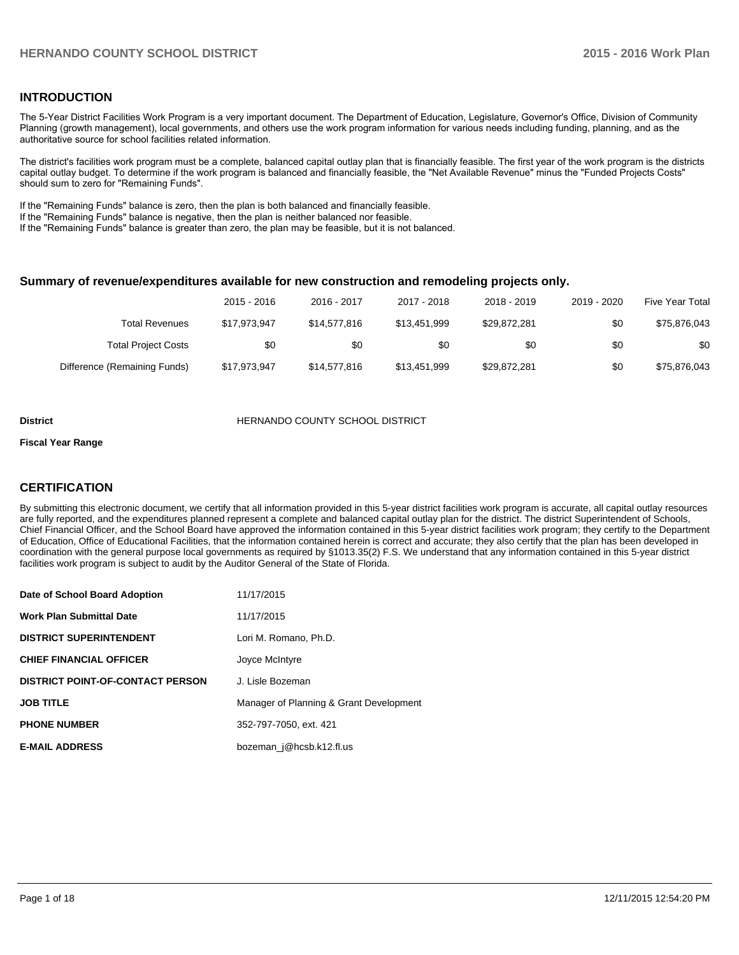### **INTRODUCTION**

The 5-Year District Facilities Work Program is a very important document. The Department of Education, Legislature, Governor's Office, Division of Community Planning (growth management), local governments, and others use the work program information for various needs including funding, planning, and as the authoritative source for school facilities related information.

The district's facilities work program must be a complete, balanced capital outlay plan that is financially feasible. The first year of the work program is the districts capital outlay budget. To determine if the work program is balanced and financially feasible, the "Net Available Revenue" minus the "Funded Projects Costs" should sum to zero for "Remaining Funds".

If the "Remaining Funds" balance is zero, then the plan is both balanced and financially feasible.

If the "Remaining Funds" balance is negative, then the plan is neither balanced nor feasible.

If the "Remaining Funds" balance is greater than zero, the plan may be feasible, but it is not balanced.

#### **Summary of revenue/expenditures available for new construction and remodeling projects only.**

| Five Year Total | 2019 - 2020 | 2018 - 2019  | 2017 - 2018  | 2016 - 2017  | $2015 - 2016$ |                              |
|-----------------|-------------|--------------|--------------|--------------|---------------|------------------------------|
| \$75,876,043    | \$0         | \$29.872.281 | \$13.451.999 | \$14,577,816 | \$17.973.947  | Total Revenues               |
| \$0             | \$0         | \$0          | \$0          | \$0          | \$0           | <b>Total Project Costs</b>   |
| \$75,876,043    | \$0         | \$29,872,281 | \$13,451,999 | \$14,577,816 | \$17,973,947  | Difference (Remaining Funds) |

#### **District COUNTY SCHOOL DISTRICT**

#### **Fiscal Year Range**

## **CERTIFICATION**

By submitting this electronic document, we certify that all information provided in this 5-year district facilities work program is accurate, all capital outlay resources are fully reported, and the expenditures planned represent a complete and balanced capital outlay plan for the district. The district Superintendent of Schools, Chief Financial Officer, and the School Board have approved the information contained in this 5-year district facilities work program; they certify to the Department of Education, Office of Educational Facilities, that the information contained herein is correct and accurate; they also certify that the plan has been developed in coordination with the general purpose local governments as required by §1013.35(2) F.S. We understand that any information contained in this 5-year district facilities work program is subject to audit by the Auditor General of the State of Florida.

| Date of School Board Adoption           | 11/17/2015                              |
|-----------------------------------------|-----------------------------------------|
| <b>Work Plan Submittal Date</b>         | 11/17/2015                              |
| <b>DISTRICT SUPERINTENDENT</b>          | Lori M. Romano, Ph.D.                   |
| <b>CHIEF FINANCIAL OFFICER</b>          | Joyce McIntyre                          |
| <b>DISTRICT POINT-OF-CONTACT PERSON</b> | J. Lisle Bozeman                        |
| <b>JOB TITLE</b>                        | Manager of Planning & Grant Development |
| <b>PHONE NUMBER</b>                     | 352-797-7050, ext. 421                  |
| <b>E-MAIL ADDRESS</b>                   | bozeman j@hcsb.k12.fl.us                |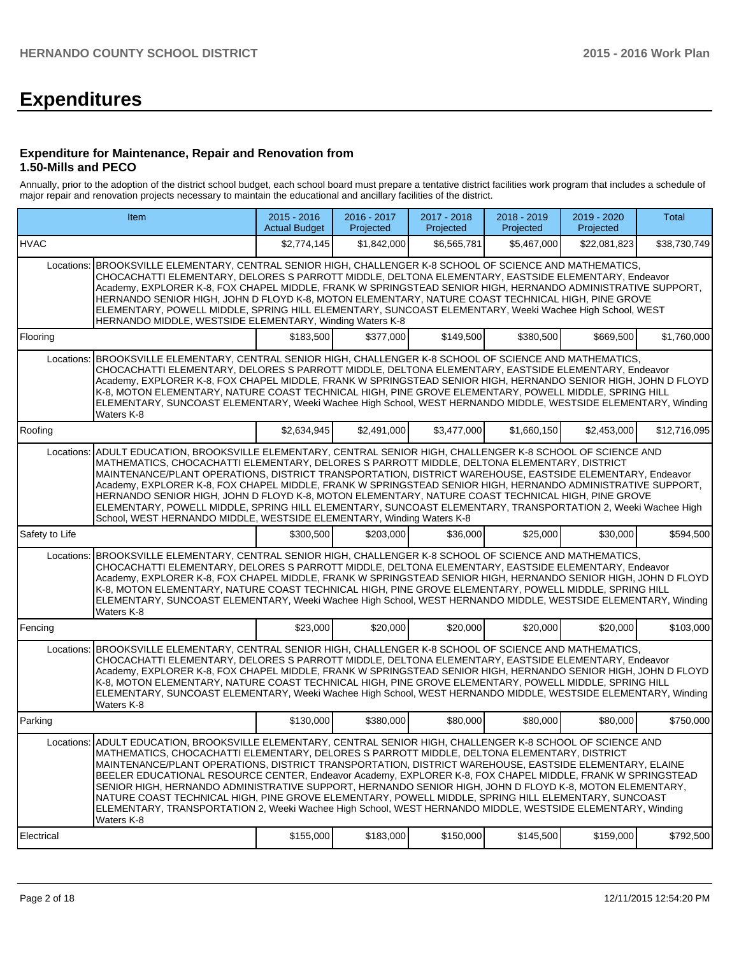# **Expenditures**

#### **Expenditure for Maintenance, Repair and Renovation from 1.50-Mills and PECO**

Annually, prior to the adoption of the district school budget, each school board must prepare a tentative district facilities work program that includes a schedule of major repair and renovation projects necessary to maintain the educational and ancillary facilities of the district.

|                                                                                                                                                                                                                                                                                                                                                                                                                                                                                                                                                                                                                                                                                                                                                                                    | Item                                                                                                                                                                                                                                                                                                                                                                                                                                                                                                                                                                                                                                                                                                                                    | $2015 - 2016$<br><b>Actual Budget</b> | 2016 - 2017<br>Projected | 2017 - 2018<br>Projected | 2018 - 2019<br>Projected | 2019 - 2020<br>Projected | <b>Total</b> |  |  |
|------------------------------------------------------------------------------------------------------------------------------------------------------------------------------------------------------------------------------------------------------------------------------------------------------------------------------------------------------------------------------------------------------------------------------------------------------------------------------------------------------------------------------------------------------------------------------------------------------------------------------------------------------------------------------------------------------------------------------------------------------------------------------------|-----------------------------------------------------------------------------------------------------------------------------------------------------------------------------------------------------------------------------------------------------------------------------------------------------------------------------------------------------------------------------------------------------------------------------------------------------------------------------------------------------------------------------------------------------------------------------------------------------------------------------------------------------------------------------------------------------------------------------------------|---------------------------------------|--------------------------|--------------------------|--------------------------|--------------------------|--------------|--|--|
| <b>HVAC</b>                                                                                                                                                                                                                                                                                                                                                                                                                                                                                                                                                                                                                                                                                                                                                                        |                                                                                                                                                                                                                                                                                                                                                                                                                                                                                                                                                                                                                                                                                                                                         | \$2,774,145                           | \$1.842.000              | \$6,565,781              | \$5,467,000              | \$22,081,823             | \$38,730,749 |  |  |
|                                                                                                                                                                                                                                                                                                                                                                                                                                                                                                                                                                                                                                                                                                                                                                                    | Locations: BROOKSVILLE ELEMENTARY, CENTRAL SENIOR HIGH, CHALLENGER K-8 SCHOOL OF SCIENCE AND MATHEMATICS,<br>CHOCACHATTI ELEMENTARY, DELORES S PARROTT MIDDLE, DELTONA ELEMENTARY, EASTSIDE ELEMENTARY, Endeavor<br>Academy, EXPLORER K-8, FOX CHAPEL MIDDLE, FRANK W SPRINGSTEAD SENIOR HIGH, HERNANDO ADMINISTRATIVE SUPPORT,<br>HERNANDO SENIOR HIGH, JOHN D FLOYD K-8, MOTON ELEMENTARY, NATURE COAST TECHNICAL HIGH, PINE GROVE<br>ELEMENTARY, POWELL MIDDLE, SPRING HILL ELEMENTARY, SUNCOAST ELEMENTARY, Weeki Wachee High School, WEST<br>HERNANDO MIDDLE, WESTSIDE ELEMENTARY, Winding Waters K-8                                                                                                                              |                                       |                          |                          |                          |                          |              |  |  |
| Flooring                                                                                                                                                                                                                                                                                                                                                                                                                                                                                                                                                                                                                                                                                                                                                                           |                                                                                                                                                                                                                                                                                                                                                                                                                                                                                                                                                                                                                                                                                                                                         | \$183,500                             | \$377,000                | \$149,500                | \$380,500                | \$669,500                | \$1,760,000  |  |  |
|                                                                                                                                                                                                                                                                                                                                                                                                                                                                                                                                                                                                                                                                                                                                                                                    | Locations: BROOKSVILLE ELEMENTARY, CENTRAL SENIOR HIGH, CHALLENGER K-8 SCHOOL OF SCIENCE AND MATHEMATICS,<br>CHOCACHATTI ELEMENTARY, DELORES S PARROTT MIDDLE, DELTONA ELEMENTARY, EASTSIDE ELEMENTARY, Endeavor<br>Academy, EXPLORER K-8, FOX CHAPEL MIDDLE, FRANK W SPRINGSTEAD SENIOR HIGH, HERNANDO SENIOR HIGH, JOHN D FLOYD<br>K-8, MOTON ELEMENTARY, NATURE COAST TECHNICAL HIGH, PINE GROVE ELEMENTARY, POWELL MIDDLE, SPRING HILL<br>ELEMENTARY, SUNCOAST ELEMENTARY, Weeki Wachee High School, WEST HERNANDO MIDDLE, WESTSIDE ELEMENTARY, Winding<br>Waters K-8                                                                                                                                                               |                                       |                          |                          |                          |                          |              |  |  |
| Roofing                                                                                                                                                                                                                                                                                                                                                                                                                                                                                                                                                                                                                                                                                                                                                                            |                                                                                                                                                                                                                                                                                                                                                                                                                                                                                                                                                                                                                                                                                                                                         | \$2,634,945                           | \$2,491,000              | \$3,477,000              | \$1,660,150              | \$2,453,000              | \$12,716,095 |  |  |
|                                                                                                                                                                                                                                                                                                                                                                                                                                                                                                                                                                                                                                                                                                                                                                                    | ADULT EDUCATION, BROOKSVILLE ELEMENTARY, CENTRAL SENIOR HIGH, CHALLENGER K-8 SCHOOL OF SCIENCE AND<br>Locations:<br>MATHEMATICS, CHOCACHATTI ELEMENTARY, DELORES S PARROTT MIDDLE, DELTONA ELEMENTARY, DISTRICT<br>MAINTENANCE/PLANT OPERATIONS, DISTRICT TRANSPORTATION, DISTRICT WAREHOUSE, EASTSIDE ELEMENTARY, Endeavor<br>Academy, EXPLORER K-8, FOX CHAPEL MIDDLE, FRANK W SPRINGSTEAD SENIOR HIGH, HERNANDO ADMINISTRATIVE SUPPORT,<br>HERNANDO SENIOR HIGH, JOHN D FLOYD K-8, MOTON ELEMENTARY, NATURE COAST TECHNICAL HIGH, PINE GROVE<br>ELEMENTARY, POWELL MIDDLE, SPRING HILL ELEMENTARY, SUNCOAST ELEMENTARY, TRANSPORTATION 2, Weeki Wachee High<br>School, WEST HERNANDO MIDDLE, WESTSIDE ELEMENTARY, Winding Waters K-8 |                                       |                          |                          |                          |                          |              |  |  |
| Safety to Life                                                                                                                                                                                                                                                                                                                                                                                                                                                                                                                                                                                                                                                                                                                                                                     |                                                                                                                                                                                                                                                                                                                                                                                                                                                                                                                                                                                                                                                                                                                                         | \$300,500                             | \$203,000                | \$36,000                 | \$25,000                 | \$30,000                 | \$594,500    |  |  |
|                                                                                                                                                                                                                                                                                                                                                                                                                                                                                                                                                                                                                                                                                                                                                                                    | Locations: BROOKSVILLE ELEMENTARY, CENTRAL SENIOR HIGH, CHALLENGER K-8 SCHOOL OF SCIENCE AND MATHEMATICS,<br>CHOCACHATTI ELEMENTARY, DELORES S PARROTT MIDDLE, DELTONA ELEMENTARY, EASTSIDE ELEMENTARY, Endeavor<br>Academy, EXPLORER K-8, FOX CHAPEL MIDDLE, FRANK W SPRINGSTEAD SENIOR HIGH, HERNANDO SENIOR HIGH, JOHN D FLOYD<br>K-8, MOTON ELEMENTARY, NATURE COAST TECHNICAL HIGH, PINE GROVE ELEMENTARY, POWELL MIDDLE, SPRING HILL<br>ELEMENTARY, SUNCOAST ELEMENTARY, Weeki Wachee High School, WEST HERNANDO MIDDLE, WESTSIDE ELEMENTARY, Winding<br>Waters K-8                                                                                                                                                               |                                       |                          |                          |                          |                          |              |  |  |
| Fencing                                                                                                                                                                                                                                                                                                                                                                                                                                                                                                                                                                                                                                                                                                                                                                            |                                                                                                                                                                                                                                                                                                                                                                                                                                                                                                                                                                                                                                                                                                                                         | \$23,000                              | \$20,000                 | \$20,000                 | \$20,000                 | \$20,000                 | \$103,000    |  |  |
|                                                                                                                                                                                                                                                                                                                                                                                                                                                                                                                                                                                                                                                                                                                                                                                    | Locations: BROOKSVILLE ELEMENTARY, CENTRAL SENIOR HIGH, CHALLENGER K-8 SCHOOL OF SCIENCE AND MATHEMATICS,<br>CHOCACHATTI ELEMENTARY, DELORES S PARROTT MIDDLE, DELTONA ELEMENTARY, EASTSIDE ELEMENTARY, Endeavor<br>Academy, EXPLORER K-8, FOX CHAPEL MIDDLE, FRANK W SPRINGSTEAD SENIOR HIGH, HERNANDO SENIOR HIGH, JOHN D FLOYD<br>K-8, MOTON ELEMENTARY, NATURE COAST TECHNICAL HIGH, PINE GROVE ELEMENTARY, POWELL MIDDLE, SPRING HILL<br>ELEMENTARY, SUNCOAST ELEMENTARY, Weeki Wachee High School, WEST HERNANDO MIDDLE, WESTSIDE ELEMENTARY, Winding<br>Waters K-8                                                                                                                                                               |                                       |                          |                          |                          |                          |              |  |  |
| Parking                                                                                                                                                                                                                                                                                                                                                                                                                                                                                                                                                                                                                                                                                                                                                                            |                                                                                                                                                                                                                                                                                                                                                                                                                                                                                                                                                                                                                                                                                                                                         | \$130,000                             | \$380,000                | \$80,000                 | \$80,000                 | \$80,000                 | \$750,000    |  |  |
| Locations: ADULT EDUCATION, BROOKSVILLE ELEMENTARY, CENTRAL SENIOR HIGH, CHALLENGER K-8 SCHOOL OF SCIENCE AND<br>MATHEMATICS, CHOCACHATTI ELEMENTARY, DELORES S PARROTT MIDDLE, DELTONA ELEMENTARY, DISTRICT<br>MAINTENANCE/PLANT OPERATIONS, DISTRICT TRANSPORTATION, DISTRICT WAREHOUSE, EASTSIDE ELEMENTARY, ELAINE<br>BEELER EDUCATIONAL RESOURCE CENTER, Endeavor Academy, EXPLORER K-8, FOX CHAPEL MIDDLE, FRANK W SPRINGSTEAD<br>SENIOR HIGH, HERNANDO ADMINISTRATIVE SUPPORT, HERNANDO SENIOR HIGH, JOHN D FLOYD K-8, MOTON ELEMENTARY,<br>NATURE COAST TECHNICAL HIGH, PINE GROVE ELEMENTARY, POWELL MIDDLE, SPRING HILL ELEMENTARY, SUNCOAST<br>ELEMENTARY, TRANSPORTATION 2, Weeki Wachee High School, WEST HERNANDO MIDDLE, WESTSIDE ELEMENTARY, Winding<br>Waters K-8 |                                                                                                                                                                                                                                                                                                                                                                                                                                                                                                                                                                                                                                                                                                                                         |                                       |                          |                          |                          |                          |              |  |  |
| Electrical                                                                                                                                                                                                                                                                                                                                                                                                                                                                                                                                                                                                                                                                                                                                                                         |                                                                                                                                                                                                                                                                                                                                                                                                                                                                                                                                                                                                                                                                                                                                         | \$155,000                             | \$183,000                | \$150,000                | \$145,500                | \$159,000                | \$792,500    |  |  |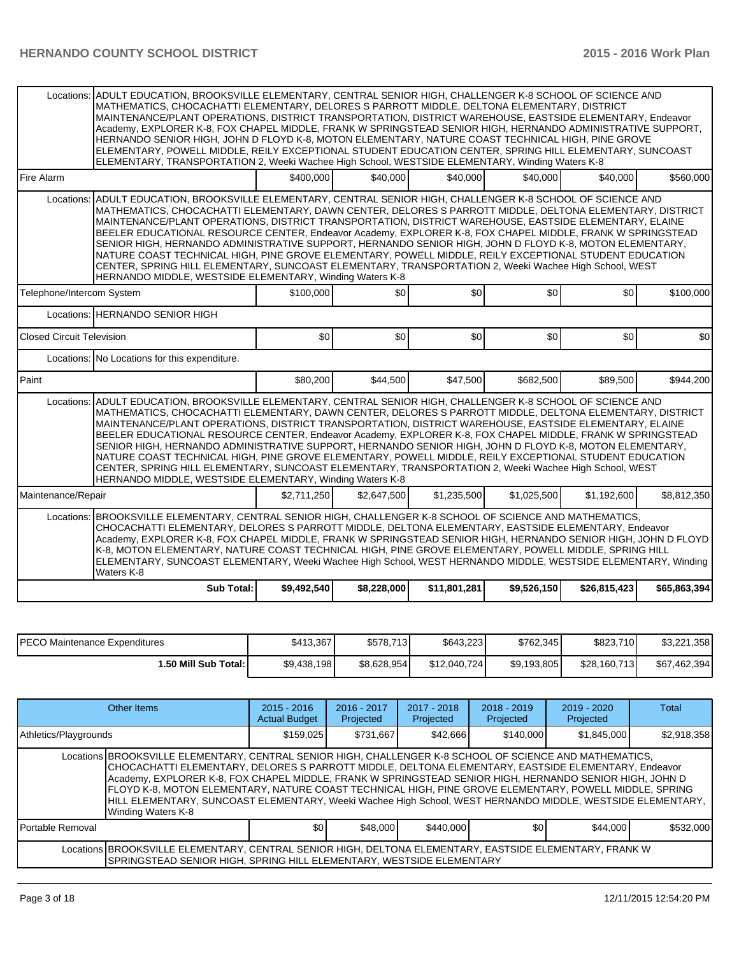| Locations:                       |                                                                                                                                                                                                                                                                                                                                                                                                                                                                                                                                                                                                                                                                                                                                                                                                                                                |             |             |              |             |              | ADULT EDUCATION, BROOKSVILLE ELEMENTARY, CENTRAL SENIOR HIGH, CHALLENGER K-8 SCHOOL OF SCIENCE AND<br>MATHEMATICS, CHOCACHATTI ELEMENTARY, DELORES S PARROTT MIDDLE, DELTONA ELEMENTARY, DISTRICT<br>MAINTENANCE/PLANT OPERATIONS, DISTRICT TRANSPORTATION, DISTRICT WAREHOUSE, EASTSIDE ELEMENTARY, Endeavor<br>Academy, EXPLORER K-8, FOX CHAPEL MIDDLE, FRANK W SPRINGSTEAD SENIOR HIGH, HERNANDO ADMINISTRATIVE SUPPORT,<br>HERNANDO SENIOR HIGH, JOHN D FLOYD K-8, MOTON ELEMENTARY, NATURE COAST TECHNICAL HIGH, PINE GROVE<br>ELEMENTARY, POWELL MIDDLE, REILY EXCEPTIONAL STUDENT EDUCATION CENTER, SPRING HILL ELEMENTARY, SUNCOAST<br>ELEMENTARY, TRANSPORTATION 2, Weeki Wachee High School, WESTSIDE ELEMENTARY, Winding Waters K-8 |  |  |  |  |  |  |  |  |  |  |  |
|----------------------------------|------------------------------------------------------------------------------------------------------------------------------------------------------------------------------------------------------------------------------------------------------------------------------------------------------------------------------------------------------------------------------------------------------------------------------------------------------------------------------------------------------------------------------------------------------------------------------------------------------------------------------------------------------------------------------------------------------------------------------------------------------------------------------------------------------------------------------------------------|-------------|-------------|--------------|-------------|--------------|-------------------------------------------------------------------------------------------------------------------------------------------------------------------------------------------------------------------------------------------------------------------------------------------------------------------------------------------------------------------------------------------------------------------------------------------------------------------------------------------------------------------------------------------------------------------------------------------------------------------------------------------------------------------------------------------------------------------------------------------------|--|--|--|--|--|--|--|--|--|--|--|
|                                  |                                                                                                                                                                                                                                                                                                                                                                                                                                                                                                                                                                                                                                                                                                                                                                                                                                                |             |             |              |             |              |                                                                                                                                                                                                                                                                                                                                                                                                                                                                                                                                                                                                                                                                                                                                                 |  |  |  |  |  |  |  |  |  |  |  |
| <b>Fire Alarm</b>                |                                                                                                                                                                                                                                                                                                                                                                                                                                                                                                                                                                                                                                                                                                                                                                                                                                                | \$400,000   | \$40,000    | \$40,000     | \$40,000    | \$40,000     | \$560,000                                                                                                                                                                                                                                                                                                                                                                                                                                                                                                                                                                                                                                                                                                                                       |  |  |  |  |  |  |  |  |  |  |  |
| Locations:                       | ADULT EDUCATION, BROOKSVILLE ELEMENTARY, CENTRAL SENIOR HIGH, CHALLENGER K-8 SCHOOL OF SCIENCE AND<br>MATHEMATICS, CHOCACHATTI ELEMENTARY, DAWN CENTER, DELORES S PARROTT MIDDLE, DELTONA ELEMENTARY, DISTRICT<br>MAINTENANCE/PLANT OPERATIONS, DISTRICT TRANSPORTATION, DISTRICT WAREHOUSE, EASTSIDE ELEMENTARY, ELAINE<br>BEELER EDUCATIONAL RESOURCE CENTER, Endeavor Academy, EXPLORER K-8, FOX CHAPEL MIDDLE, FRANK W SPRINGSTEAD<br>SENIOR HIGH, HERNANDO ADMINISTRATIVE SUPPORT, HERNANDO SENIOR HIGH, JOHN D FLOYD K-8, MOTON ELEMENTARY,<br>NATURE COAST TECHNICAL HIGH, PINE GROVE ELEMENTARY, POWELL MIDDLE, REILY EXCEPTIONAL STUDENT EDUCATION<br>CENTER, SPRING HILL ELEMENTARY, SUNCOAST ELEMENTARY, TRANSPORTATION 2, Weeki Wachee High School, WEST<br>HERNANDO MIDDLE, WESTSIDE ELEMENTARY, Winding Waters K-8               |             |             |              |             |              |                                                                                                                                                                                                                                                                                                                                                                                                                                                                                                                                                                                                                                                                                                                                                 |  |  |  |  |  |  |  |  |  |  |  |
| Telephone/Intercom System        |                                                                                                                                                                                                                                                                                                                                                                                                                                                                                                                                                                                                                                                                                                                                                                                                                                                | \$100,000   | \$0         | \$0          | \$0         | \$0          | \$100,000                                                                                                                                                                                                                                                                                                                                                                                                                                                                                                                                                                                                                                                                                                                                       |  |  |  |  |  |  |  |  |  |  |  |
|                                  | Locations: HERNANDO SENIOR HIGH                                                                                                                                                                                                                                                                                                                                                                                                                                                                                                                                                                                                                                                                                                                                                                                                                |             |             |              |             |              |                                                                                                                                                                                                                                                                                                                                                                                                                                                                                                                                                                                                                                                                                                                                                 |  |  |  |  |  |  |  |  |  |  |  |
| <b>Closed Circuit Television</b> |                                                                                                                                                                                                                                                                                                                                                                                                                                                                                                                                                                                                                                                                                                                                                                                                                                                | \$0         | \$0         | \$0          | \$0]        | \$0          | \$0                                                                                                                                                                                                                                                                                                                                                                                                                                                                                                                                                                                                                                                                                                                                             |  |  |  |  |  |  |  |  |  |  |  |
|                                  | Locations: No Locations for this expenditure.                                                                                                                                                                                                                                                                                                                                                                                                                                                                                                                                                                                                                                                                                                                                                                                                  |             |             |              |             |              |                                                                                                                                                                                                                                                                                                                                                                                                                                                                                                                                                                                                                                                                                                                                                 |  |  |  |  |  |  |  |  |  |  |  |
| <b>P</b> aint                    |                                                                                                                                                                                                                                                                                                                                                                                                                                                                                                                                                                                                                                                                                                                                                                                                                                                | \$80,200    | \$44,500    | \$47,500     | \$682,500   | \$89,500     | \$944,200                                                                                                                                                                                                                                                                                                                                                                                                                                                                                                                                                                                                                                                                                                                                       |  |  |  |  |  |  |  |  |  |  |  |
|                                  | ADULT EDUCATION, BROOKSVILLE ELEMENTARY, CENTRAL SENIOR HIGH, CHALLENGER K-8 SCHOOL OF SCIENCE AND<br>Locations:<br>MATHEMATICS, CHOCACHATTI ELEMENTARY, DAWN CENTER, DELORES S PARROTT MIDDLE, DELTONA ELEMENTARY, DISTRICT<br>MAINTENANCE/PLANT OPERATIONS, DISTRICT TRANSPORTATION, DISTRICT WAREHOUSE, EASTSIDE ELEMENTARY, ELAINE<br>BEELER EDUCATIONAL RESOURCE CENTER, Endeavor Academy, EXPLORER K-8, FOX CHAPEL MIDDLE, FRANK W SPRINGSTEAD<br>SENIOR HIGH, HERNANDO ADMINISTRATIVE SUPPORT, HERNANDO SENIOR HIGH, JOHN D FLOYD K-8, MOTON ELEMENTARY,<br>NATURE COAST TECHNICAL HIGH, PINE GROVE ELEMENTARY, POWELL MIDDLE, REILY EXCEPTIONAL STUDENT EDUCATION<br>CENTER, SPRING HILL ELEMENTARY, SUNCOAST ELEMENTARY, TRANSPORTATION 2, Weeki Wachee High School, WEST<br>HERNANDO MIDDLE, WESTSIDE ELEMENTARY, Winding Waters K-8 |             |             |              |             |              |                                                                                                                                                                                                                                                                                                                                                                                                                                                                                                                                                                                                                                                                                                                                                 |  |  |  |  |  |  |  |  |  |  |  |
| Maintenance/Repair               |                                                                                                                                                                                                                                                                                                                                                                                                                                                                                                                                                                                                                                                                                                                                                                                                                                                | \$2,711,250 | \$2,647,500 | \$1,235,500  | \$1,025,500 | \$1,192,600  | \$8,812,350                                                                                                                                                                                                                                                                                                                                                                                                                                                                                                                                                                                                                                                                                                                                     |  |  |  |  |  |  |  |  |  |  |  |
|                                  | Locations: BROOKSVILLE ELEMENTARY, CENTRAL SENIOR HIGH, CHALLENGER K-8 SCHOOL OF SCIENCE AND MATHEMATICS,<br>CHOCACHATTI ELEMENTARY, DELORES S PARROTT MIDDLE, DELTONA ELEMENTARY, EASTSIDE ELEMENTARY, Endeavor<br>Academy, EXPLORER K-8, FOX CHAPEL MIDDLE, FRANK W SPRINGSTEAD SENIOR HIGH, HERNANDO SENIOR HIGH, JOHN D FLOYD<br>K-8, MOTON ELEMENTARY, NATURE COAST TECHNICAL HIGH, PINE GROVE ELEMENTARY, POWELL MIDDLE, SPRING HILL<br>ELEMENTARY, SUNCOAST ELEMENTARY, Weeki Wachee High School, WEST HERNANDO MIDDLE, WESTSIDE ELEMENTARY, Winding<br>Waters K-8                                                                                                                                                                                                                                                                      |             |             |              |             |              |                                                                                                                                                                                                                                                                                                                                                                                                                                                                                                                                                                                                                                                                                                                                                 |  |  |  |  |  |  |  |  |  |  |  |
|                                  | <b>Sub Total:</b>                                                                                                                                                                                                                                                                                                                                                                                                                                                                                                                                                                                                                                                                                                                                                                                                                              | \$9,492,540 | \$8,228,000 | \$11,801,281 | \$9,526,150 | \$26,815,423 | \$65,863,394                                                                                                                                                                                                                                                                                                                                                                                                                                                                                                                                                                                                                                                                                                                                    |  |  |  |  |  |  |  |  |  |  |  |

| <b>IPECO Maintenance Expenditures</b> | \$413,367   | \$578,713   | \$643.223    | \$762,345   | \$823,710    | \$3,221,358  |
|---------------------------------------|-------------|-------------|--------------|-------------|--------------|--------------|
| 1.50 Mill Sub Total: I                | \$9,438,198 | \$8,628,954 | \$12,040,724 | \$9,193,805 | \$28,160,713 | \$67,462,394 |

| Other Items                                                                                                                                                                                                                                                                                                                                                                                                                                                                                                                                                              |  | $2015 - 2016$<br><b>Actual Budget</b> | $2016 - 2017$<br>Projected | 2017 - 2018<br>Projected | $2018 - 2019$<br>Projected | $2019 - 2020$<br>Projected | Total       |  |  |
|--------------------------------------------------------------------------------------------------------------------------------------------------------------------------------------------------------------------------------------------------------------------------------------------------------------------------------------------------------------------------------------------------------------------------------------------------------------------------------------------------------------------------------------------------------------------------|--|---------------------------------------|----------------------------|--------------------------|----------------------------|----------------------------|-------------|--|--|
| Athletics/Playgrounds                                                                                                                                                                                                                                                                                                                                                                                                                                                                                                                                                    |  | \$159,025                             | \$731.667                  | \$42.666                 | \$140,000                  | \$1,845,000                | \$2,918,358 |  |  |
| Locations BROOKSVILLE ELEMENTARY, CENTRAL SENIOR HIGH, CHALLENGER K-8 SCHOOL OF SCIENCE AND MATHEMATICS,<br>CHOCACHATTI ELEMENTARY, DELORES S PARROTT MIDDLE, DELTONA ELEMENTARY, EASTSIDE ELEMENTARY, Endeavor<br>Academy, EXPLORER K-8, FOX CHAPEL MIDDLE, FRANK W SPRINGSTEAD SENIOR HIGH, HERNANDO SENIOR HIGH, JOHN D<br>FLOYD K-8, MOTON ELEMENTARY, NATURE COAST TECHNICAL HIGH, PINE GROVE ELEMENTARY, POWELL MIDDLE, SPRING<br>HILL ELEMENTARY, SUNCOAST ELEMENTARY, Weeki Wachee High School, WEST HERNANDO MIDDLE, WESTSIDE ELEMENTARY,<br>Winding Waters K-8 |  |                                       |                            |                          |                            |                            |             |  |  |
| Portable Removal                                                                                                                                                                                                                                                                                                                                                                                                                                                                                                                                                         |  | \$0                                   | \$48,000                   | \$440,000                | ا 30                       | \$44,000                   | \$532,000   |  |  |
| Locations BROOKSVILLE ELEMENTARY, CENTRAL SENIOR HIGH, DELTONA ELEMENTARY, EASTSIDE ELEMENTARY, FRANK W<br>SPRINGSTEAD SENIOR HIGH, SPRING HILL ELEMENTARY, WESTSIDE ELEMENTARY                                                                                                                                                                                                                                                                                                                                                                                          |  |                                       |                            |                          |                            |                            |             |  |  |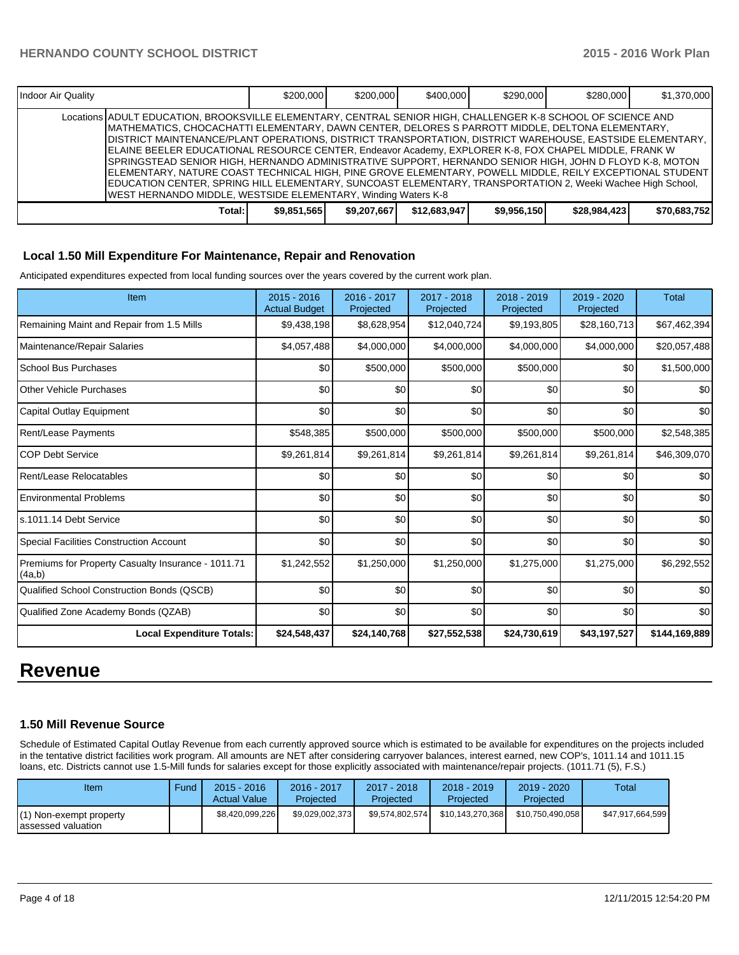| Indoor Air Quality |                                                                                                                                                                                                                                                                                                                                                                                                                                                                                                                                                                                                                                                                                                                                                                                                                                              | \$200,000   | \$200,000   | \$400,000    | \$290,000   | \$280,000    | \$1,370,000  |
|--------------------|----------------------------------------------------------------------------------------------------------------------------------------------------------------------------------------------------------------------------------------------------------------------------------------------------------------------------------------------------------------------------------------------------------------------------------------------------------------------------------------------------------------------------------------------------------------------------------------------------------------------------------------------------------------------------------------------------------------------------------------------------------------------------------------------------------------------------------------------|-------------|-------------|--------------|-------------|--------------|--------------|
|                    | Locations ADULT EDUCATION, BROOKSVILLE ELEMENTARY, CENTRAL SENIOR HIGH, CHALLENGER K-8 SCHOOL OF SCIENCE AND<br>MATHEMATICS, CHOCACHATTI ELEMENTARY, DAWN CENTER, DELORES S PARROTT MIDDLE, DELTONA ELEMENTARY,<br> DISTRICT MAINTENANCE/PLANT OPERATIONS, DISTRICT TRANSPORTATION, DISTRICT WAREHOUSE, EASTSIDE ELEMENTARY,<br>ELAINE BEELER EDUCATIONAL RESOURCE CENTER, Endeavor Academy, EXPLORER K-8, FOX CHAPEL MIDDLE, FRANK W<br>SPRINGSTEAD SENIOR HIGH, HERNANDO ADMINISTRATIVE SUPPORT, HERNANDO SENIOR HIGH, JOHN D FLOYD K-8, MOTON<br>IELEMENTARY, NATURE COAST TECHNICAL HIGH, PINE GROVE ELEMENTARY, POWELL MIDDLE, REILY EXCEPTIONAL STUDENT<br>EDUCATION CENTER, SPRING HILL ELEMENTARY, SUNCOAST ELEMENTARY, TRANSPORTATION 2, Weeki Wachee High School,<br>WEST HERNANDO MIDDLE, WESTSIDE ELEMENTARY, Winding Waters K-8 |             |             |              |             |              |              |
|                    | Total:                                                                                                                                                                                                                                                                                                                                                                                                                                                                                                                                                                                                                                                                                                                                                                                                                                       | \$9.851.565 | \$9,207,667 | \$12,683,947 | \$9,956,150 | \$28,984,423 | \$70,683,752 |

#### **Local 1.50 Mill Expenditure For Maintenance, Repair and Renovation**

Anticipated expenditures expected from local funding sources over the years covered by the current work plan.

| Item                                                         | $2015 - 2016$<br><b>Actual Budget</b> | 2016 - 2017<br>Projected | 2017 - 2018<br>Projected | 2018 - 2019<br>Projected | $2019 - 2020$<br>Projected | Total         |
|--------------------------------------------------------------|---------------------------------------|--------------------------|--------------------------|--------------------------|----------------------------|---------------|
| Remaining Maint and Repair from 1.5 Mills                    | \$9,438,198                           | \$8,628,954              | \$12,040,724             | \$9,193,805              | \$28,160,713               | \$67,462,394  |
| Maintenance/Repair Salaries                                  | \$4,057,488                           | \$4,000,000              | \$4,000,000              | \$4,000,000              | \$4,000,000                | \$20,057,488  |
| <b>School Bus Purchases</b>                                  | \$0                                   | \$500,000                | \$500,000                | \$500,000                | \$0                        | \$1,500,000   |
| Other Vehicle Purchases                                      | \$0                                   | \$0                      | \$0                      | \$0                      | \$0                        | \$0           |
| Capital Outlay Equipment                                     | \$0                                   | \$0                      | \$0                      | \$0                      | \$0                        | \$0           |
| Rent/Lease Payments                                          | \$548,385                             | \$500,000                | \$500,000                | \$500,000                | \$500,000                  | \$2,548,385   |
| <b>COP Debt Service</b>                                      | \$9,261,814                           | \$9,261,814              | \$9,261,814              | \$9,261,814              | \$9,261,814                | \$46,309,070  |
| Rent/Lease Relocatables                                      | \$0                                   | \$0                      | \$0                      | \$0                      | \$0                        | \$0           |
| <b>Environmental Problems</b>                                | \$0                                   | \$0                      | \$0                      | \$0                      | \$0                        | \$0           |
| ls.1011.14 Debt Service                                      | \$0                                   | \$0                      | \$0                      | \$0                      | \$0                        | \$0           |
| <b>Special Facilities Construction Account</b>               | \$0                                   | \$0                      | \$0                      | \$0                      | \$0                        | \$0           |
| Premiums for Property Casualty Insurance - 1011.71<br>(4a,b) | \$1,242,552                           | \$1,250,000              | \$1,250,000              | \$1,275,000              | \$1,275,000                | \$6,292,552   |
| <b>Qualified School Construction Bonds (QSCB)</b>            | \$0                                   | \$0                      | \$0                      | \$0                      | \$0                        | \$0           |
| Qualified Zone Academy Bonds (QZAB)                          | \$0                                   | \$0                      | \$0                      | \$0                      | \$0                        | \$0           |
| <b>Local Expenditure Totals:</b>                             | \$24,548,437                          | \$24,140,768             | \$27,552,538             | \$24,730,619             | \$43,197,527               | \$144,169,889 |

# **Revenue**

#### **1.50 Mill Revenue Source**

Schedule of Estimated Capital Outlay Revenue from each currently approved source which is estimated to be available for expenditures on the projects included in the tentative district facilities work program. All amounts are NET after considering carryover balances, interest earned, new COP's, 1011.14 and 1011.15 loans, etc. Districts cannot use 1.5-Mill funds for salaries except for those explicitly associated with maintenance/repair projects. (1011.71 (5), F.S.)

| Item                                           | Fund | $2015 - 2016$<br><b>Actual Value</b> | 2016 - 2017<br>Projected | $2017 - 2018$<br>Projected | $2018 - 2019$<br>Projected | $2019 - 2020$<br>Projected | Total            |
|------------------------------------------------|------|--------------------------------------|--------------------------|----------------------------|----------------------------|----------------------------|------------------|
| (1) Non-exempt property<br>Iassessed valuation |      | \$8,420,099,226                      | \$9.029.002.373          | \$9.574.802.574            | \$10.143.270.368           | \$10,750,490,058           | \$47,917,664,599 |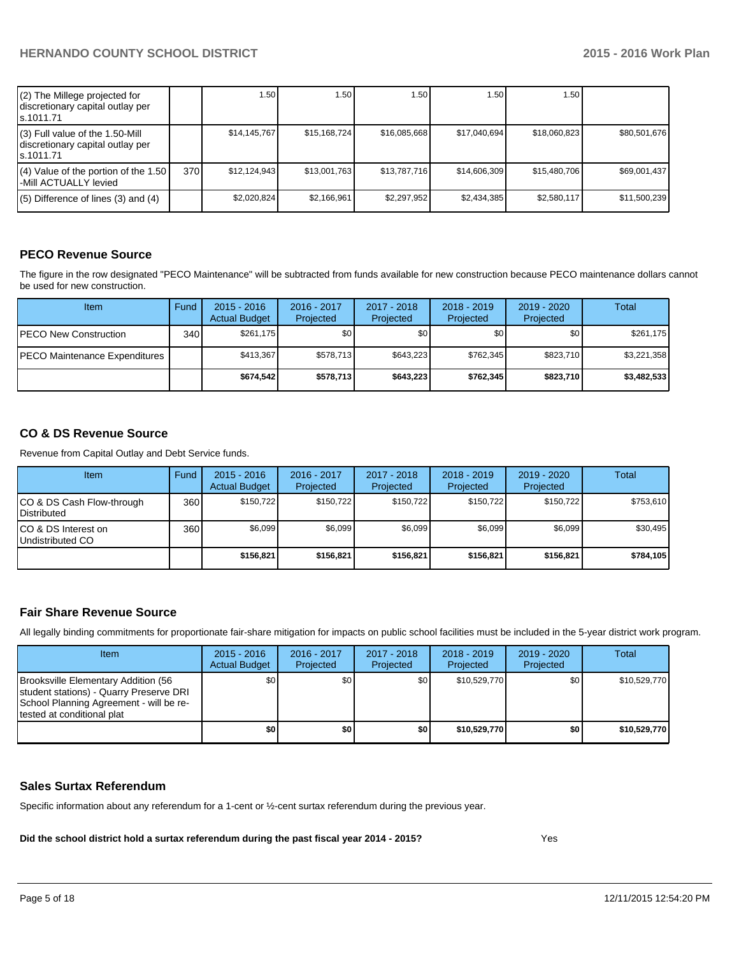| (2) The Millege projected for<br>discretionary capital outlay per<br>ls.1011.71   |     | 1.50         | 1.50 I       | 1.50         | 1.50         | 1.50 l       |              |
|-----------------------------------------------------------------------------------|-----|--------------|--------------|--------------|--------------|--------------|--------------|
| (3) Full value of the 1.50-Mill<br>discretionary capital outlay per<br>ls.1011.71 |     | \$14.145.767 | \$15,168,724 | \$16,085,668 | \$17,040,694 | \$18,060,823 | \$80,501,676 |
| $(4)$ Value of the portion of the 1.50<br>l-Mill ACTUALLY levied                  | 370 | \$12,124,943 | \$13,001,763 | \$13,787,716 | \$14,606,309 | \$15,480,706 | \$69,001,437 |
| $(5)$ Difference of lines $(3)$ and $(4)$                                         |     | \$2.020.824  | \$2,166,961  | \$2,297,952  | \$2,434,385  | \$2,580,117  | \$11,500,239 |

# **PECO Revenue Source**

The figure in the row designated "PECO Maintenance" will be subtracted from funds available for new construction because PECO maintenance dollars cannot be used for new construction.

| <b>Item</b>                   | Fund | $2015 - 2016$<br><b>Actual Budget</b> | $2016 - 2017$<br>Projected | 2017 - 2018<br>Projected | $2018 - 2019$<br>Projected | $2019 - 2020$<br>Projected | Total       |
|-------------------------------|------|---------------------------------------|----------------------------|--------------------------|----------------------------|----------------------------|-------------|
| <b>PECO New Construction</b>  | 340  | \$261.175                             | \$0 <sub>1</sub>           | \$0                      | \$0 <sub>0</sub>           | \$0 <sub>1</sub>           | \$261,175   |
| PECO Maintenance Expenditures |      | \$413.367                             | \$578.713                  | \$643.223                | \$762.345                  | \$823,710                  | \$3,221,358 |
|                               |      | \$674.542                             | \$578.713                  | \$643.223                | \$762.345                  | \$823,710                  | \$3,482,533 |

## **CO & DS Revenue Source**

Revenue from Capital Outlay and Debt Service funds.

| Item                                             | Fund | $2015 - 2016$<br><b>Actual Budget</b> | $2016 - 2017$<br>Projected | $2017 - 2018$<br>Projected | $2018 - 2019$<br>Projected | $2019 - 2020$<br>Projected | Total     |
|--------------------------------------------------|------|---------------------------------------|----------------------------|----------------------------|----------------------------|----------------------------|-----------|
| ICO & DS Cash Flow-through<br><b>Distributed</b> | 360  | \$150.722                             | \$150.722                  | \$150.722                  | \$150.722                  | \$150.722                  | \$753,610 |
| ICO & DS Interest on<br>Undistributed CO         | 360  | \$6.099                               | \$6,099                    | \$6,099                    | \$6,099                    | \$6,099                    | \$30,495  |
|                                                  |      | \$156.821                             | \$156,821                  | \$156.821                  | \$156,821                  | \$156.821                  | \$784,105 |

#### **Fair Share Revenue Source**

All legally binding commitments for proportionate fair-share mitigation for impacts on public school facilities must be included in the 5-year district work program.

| <b>Item</b>                                                                                                                                              | $2015 - 2016$<br><b>Actual Budget</b> | $2016 - 2017$<br>Projected | 2017 - 2018<br>Projected | $2018 - 2019$<br>Projected | $2019 - 2020$<br>Projected | Total        |
|----------------------------------------------------------------------------------------------------------------------------------------------------------|---------------------------------------|----------------------------|--------------------------|----------------------------|----------------------------|--------------|
| Brooksville Elementary Addition (56<br>student stations) - Quarry Preserve DRI<br>School Planning Agreement - will be re-<br>Itested at conditional plat | \$0                                   | \$0                        | \$0                      | \$10,529,770               | \$0                        | \$10,529,770 |
|                                                                                                                                                          | \$0                                   | \$0                        | \$0                      | \$10,529,770               | \$0                        | \$10,529,770 |

#### **Sales Surtax Referendum**

Specific information about any referendum for a 1-cent or ½-cent surtax referendum during the previous year.

**Did the school district hold a surtax referendum during the past fiscal year 2014 - 2015?**

Yes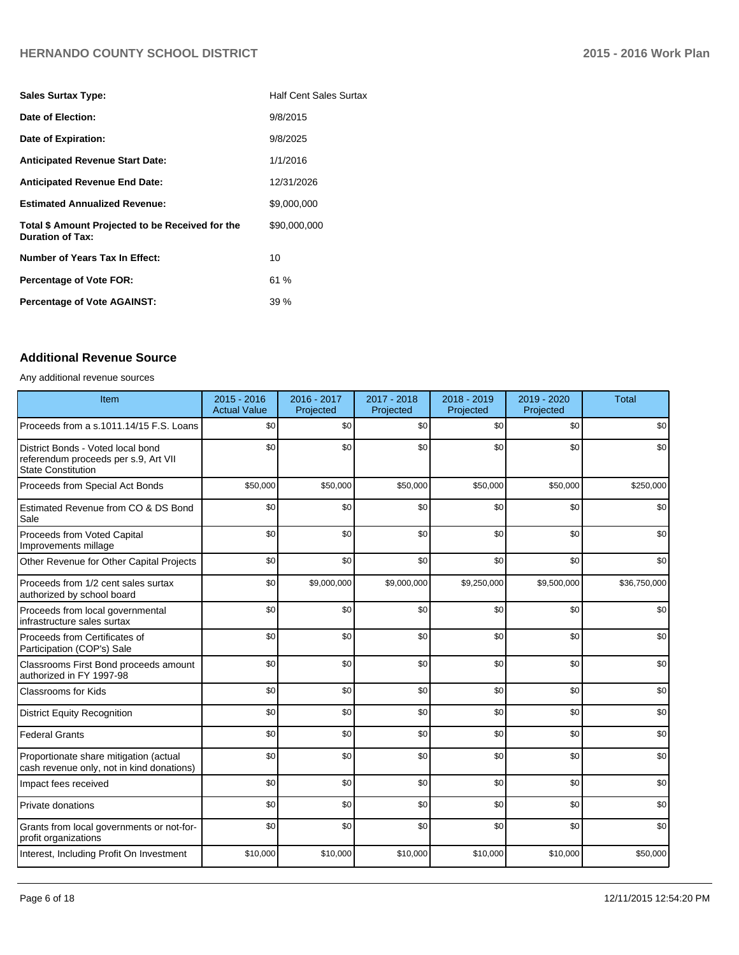| <b>Sales Surtax Type:</b>                                                   | <b>Half Cent Sales Surtax</b> |
|-----------------------------------------------------------------------------|-------------------------------|
| Date of Election:                                                           | 9/8/2015                      |
| Date of Expiration:                                                         | 9/8/2025                      |
| <b>Anticipated Revenue Start Date:</b>                                      | 1/1/2016                      |
| <b>Anticipated Revenue End Date:</b>                                        | 12/31/2026                    |
| <b>Estimated Annualized Revenue:</b>                                        | \$9,000,000                   |
| Total \$ Amount Projected to be Received for the<br><b>Duration of Tax:</b> | \$90,000,000                  |
| <b>Number of Years Tax In Effect:</b>                                       | 10                            |
| <b>Percentage of Vote FOR:</b>                                              | 61%                           |
| <b>Percentage of Vote AGAINST:</b>                                          | 39%                           |

# **Additional Revenue Source**

#### Any additional revenue sources

| Item                                                                                            | $2015 - 2016$<br><b>Actual Value</b> | 2016 - 2017<br>Projected | 2017 - 2018<br>Projected | 2018 - 2019<br>Projected | 2019 - 2020<br>Projected | <b>Total</b> |
|-------------------------------------------------------------------------------------------------|--------------------------------------|--------------------------|--------------------------|--------------------------|--------------------------|--------------|
| Proceeds from a s.1011.14/15 F.S. Loans                                                         | \$0                                  | \$0                      | \$0                      | \$0                      | \$0                      | \$0          |
| District Bonds - Voted local bond<br>referendum proceeds per s.9, Art VII<br>State Constitution | \$0                                  | \$0                      | \$0                      | \$0                      | \$0                      | \$0          |
| Proceeds from Special Act Bonds                                                                 | \$50,000                             | \$50,000                 | \$50,000                 | \$50,000                 | \$50,000                 | \$250,000    |
| Estimated Revenue from CO & DS Bond<br>Sale                                                     | \$0                                  | \$0                      | \$0                      | \$0                      | \$0                      | \$0          |
| <b>Proceeds from Voted Capital</b><br>Improvements millage                                      | \$0                                  | \$0                      | \$0                      | \$0                      | \$0                      | \$0          |
| Other Revenue for Other Capital Projects                                                        | \$0                                  | \$0                      | \$0                      | \$0                      | \$0                      | \$0          |
| Proceeds from 1/2 cent sales surtax<br>authorized by school board                               | \$0                                  | \$9,000,000              | \$9,000,000              | \$9,250,000              | \$9,500,000              | \$36,750,000 |
| Proceeds from local governmental<br>infrastructure sales surtax                                 | \$0                                  | \$0                      | \$0                      | \$0                      | \$0                      | \$0          |
| Proceeds from Certificates of<br>Participation (COP's) Sale                                     | \$0                                  | \$0                      | \$0                      | \$0                      | \$0                      | \$0          |
| Classrooms First Bond proceeds amount<br>authorized in FY 1997-98                               | \$0                                  | \$0                      | \$0                      | \$0                      | \$0                      | \$0          |
| <b>Classrooms for Kids</b>                                                                      | \$0                                  | \$0                      | \$0                      | \$0                      | \$0                      | \$0          |
| <b>District Equity Recognition</b>                                                              | \$0                                  | \$0                      | \$0                      | \$0                      | \$0                      | \$0          |
| <b>Federal Grants</b>                                                                           | \$0                                  | \$0                      | \$0                      | \$0                      | \$0                      | \$0          |
| Proportionate share mitigation (actual<br>cash revenue only, not in kind donations)             | \$0                                  | \$0                      | \$0                      | \$0                      | \$0                      | \$0          |
| Impact fees received                                                                            | \$0                                  | \$0                      | \$0                      | \$0                      | \$0                      | \$0          |
| <b>Private donations</b>                                                                        | \$0                                  | \$0                      | \$0                      | \$0                      | \$0                      | \$0          |
| Grants from local governments or not-for-<br>profit organizations                               | \$0                                  | \$0                      | \$0                      | \$0                      | \$0                      | \$0          |
| Interest, Including Profit On Investment                                                        | \$10,000                             | \$10,000                 | \$10,000                 | \$10,000                 | \$10,000                 | \$50,000     |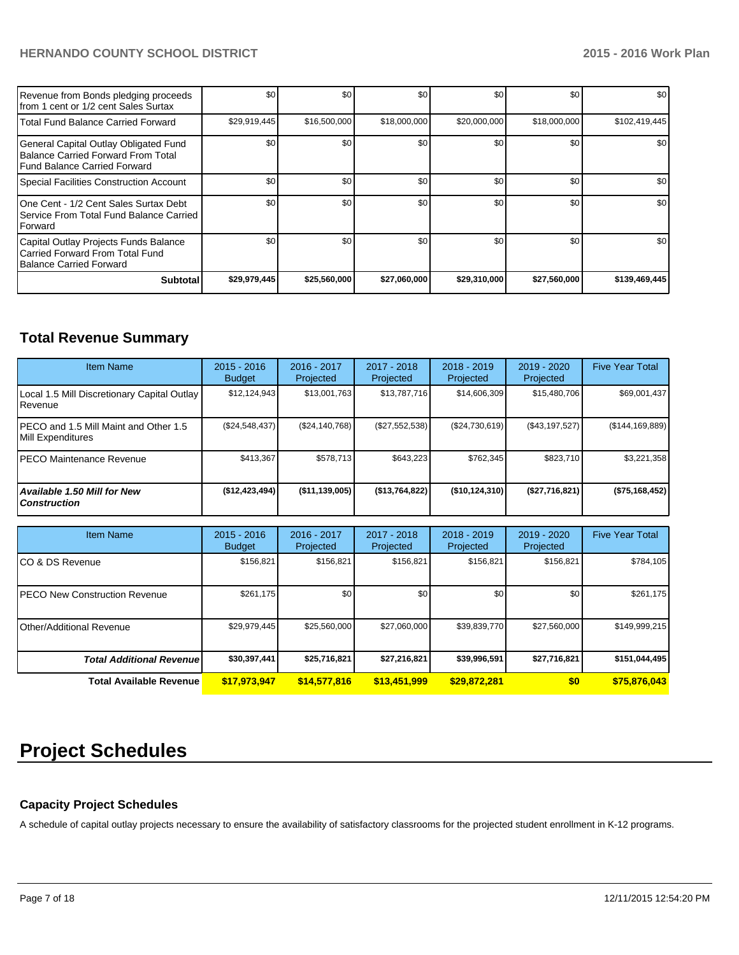| Revenue from Bonds pledging proceeds<br>from 1 cent or 1/2 cent Sales Surtax                                       | \$0          | \$0          | \$0          | \$0          | \$0          | \$0           |
|--------------------------------------------------------------------------------------------------------------------|--------------|--------------|--------------|--------------|--------------|---------------|
| <b>Total Fund Balance Carried Forward</b>                                                                          | \$29,919,445 | \$16,500,000 | \$18,000,000 | \$20,000,000 | \$18,000,000 | \$102,419,445 |
| General Capital Outlay Obligated Fund<br>Balance Carried Forward From Total<br><b>Fund Balance Carried Forward</b> | \$0          | \$0          | \$0          | \$0          | \$0          | \$0           |
| Special Facilities Construction Account                                                                            | \$0          | \$0          | \$0          | \$0          | \$0          | \$0           |
| One Cent - 1/2 Cent Sales Surtax Debt<br>Service From Total Fund Balance Carried<br>Forward                        | \$0          | \$0          | \$0          | \$0          | \$0          | \$0           |
| Capital Outlay Projects Funds Balance<br>Carried Forward From Total Fund<br><b>Balance Carried Forward</b>         | \$0          | \$0          | \$0          | \$0          | \$0          | \$0           |
| <b>Subtotal</b>                                                                                                    | \$29,979,445 | \$25,560,000 | \$27,060,000 | \$29,310,000 | \$27,560,000 | \$139,469,445 |

# **Total Revenue Summary**

| <b>Item Name</b>                                           | $2015 - 2016$<br><b>Budget</b> | $2016 - 2017$<br>Projected | $2017 - 2018$<br>Projected | $2018 - 2019$<br>Projected | $2019 - 2020$<br>Projected | <b>Five Year Total</b> |
|------------------------------------------------------------|--------------------------------|----------------------------|----------------------------|----------------------------|----------------------------|------------------------|
| Local 1.5 Mill Discretionary Capital Outlay<br>l Revenue   | \$12,124,943                   | \$13,001,763               | \$13,787,716               | \$14,606,309               | \$15,480,706               | \$69,001,437           |
| PECO and 1.5 Mill Maint and Other 1.5<br>Mill Expenditures | (S24, 548, 437)                | (S24.140.768)              | (\$27,552,538)             | (S24,730,619)              | (S43, 197, 527)            | (\$144, 169, 889)      |
| IPECO Maintenance Revenue                                  | \$413.367                      | \$578.713                  | \$643.223                  | \$762.345                  | \$823,710                  | \$3,221,358            |
| <b>Available 1.50 Mill for New</b><br><b>Construction</b>  | (\$12,423,494)                 | $($ \$11,139,005)          | (\$13,764,822)             | (S10, 124, 310)            | (\$27,716,821)             | (\$75,168,452)         |

| <b>Item Name</b>                      | $2015 - 2016$<br><b>Budget</b> | 2016 - 2017<br>Projected | 2017 - 2018<br>Projected | $2018 - 2019$<br>Projected | 2019 - 2020<br>Projected | <b>Five Year Total</b> |
|---------------------------------------|--------------------------------|--------------------------|--------------------------|----------------------------|--------------------------|------------------------|
| ICO & DS Revenue                      | \$156,821                      | \$156,821                | \$156.821                | \$156,821                  | \$156,821                | \$784,105              |
| <b>IPECO New Construction Revenue</b> | \$261,175                      | \$0 <sub>l</sub>         | \$0                      | \$0                        | \$0                      | \$261,175              |
| <b>Other/Additional Revenue</b>       | \$29,979,445                   | \$25,560,000             | \$27,060,000             | \$39,839,770               | \$27,560,000             | \$149,999,215          |
| <b>Total Additional Revenuel</b>      | \$30,397,441                   | \$25,716,821             | \$27,216,821             | \$39,996,591               | \$27,716,821             | \$151,044,495          |
| <b>Total Available Revenue</b>        | \$17,973,947                   | \$14,577,816             | \$13,451,999             | \$29,872,281               | \$0                      | \$75,876,043           |

# **Project Schedules**

# **Capacity Project Schedules**

A schedule of capital outlay projects necessary to ensure the availability of satisfactory classrooms for the projected student enrollment in K-12 programs.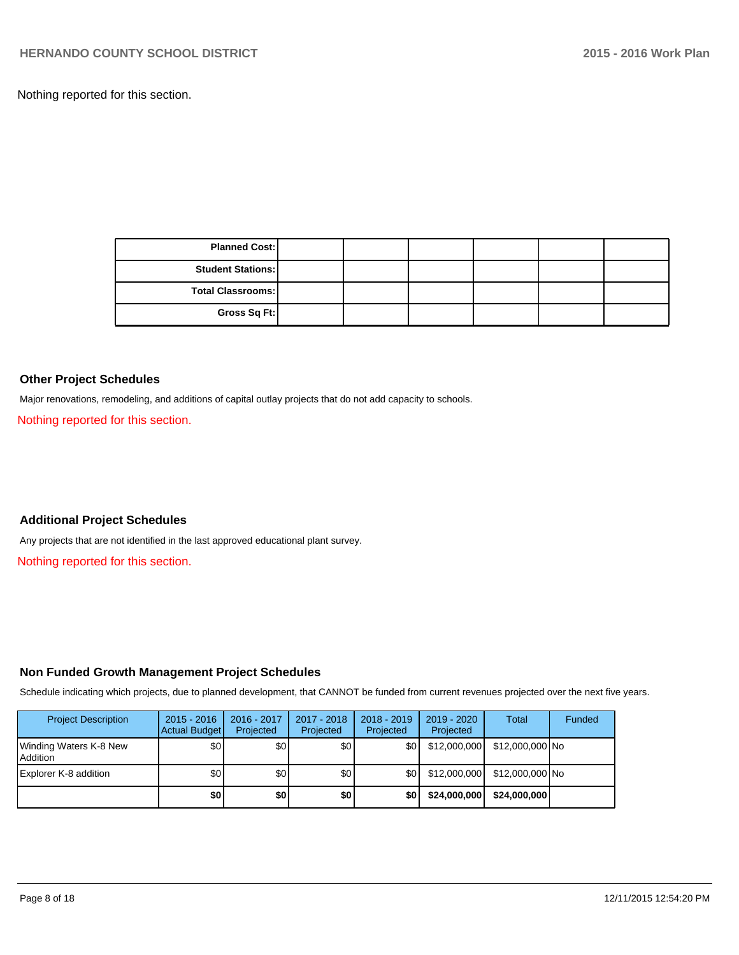Nothing reported for this section.

| <b>Planned Cost:</b>     |  |  |  |
|--------------------------|--|--|--|
| <b>Student Stations:</b> |  |  |  |
| <b>Total Classrooms:</b> |  |  |  |
| Gross Sq Ft:             |  |  |  |

#### **Other Project Schedules**

Major renovations, remodeling, and additions of capital outlay projects that do not add capacity to schools.

Nothing reported for this section.

## **Additional Project Schedules**

Any projects that are not identified in the last approved educational plant survey.

Nothing reported for this section.

## **Non Funded Growth Management Project Schedules**

Schedule indicating which projects, due to planned development, that CANNOT be funded from current revenues projected over the next five years.

| <b>Project Description</b>           | $2015 - 2016$<br>Actual Budget | 2016 - 2017<br>Projected | $2017 - 2018$<br>Projected | $2018 - 2019$<br>Projected | $2019 - 2020$<br>Projected | Total           | Funded |
|--------------------------------------|--------------------------------|--------------------------|----------------------------|----------------------------|----------------------------|-----------------|--------|
| Winding Waters K-8 New<br>l Addition | \$0                            | \$0                      | \$0                        | \$0                        | \$12,000,000               | \$12,000,000 No |        |
| Explorer K-8 addition                | \$0                            | \$0                      | \$0                        | <b>SOI</b>                 | \$12,000,000               | \$12,000,000 No |        |
|                                      | \$0                            | \$0                      | \$0                        | \$0                        | \$24,000,000               | \$24.000.000    |        |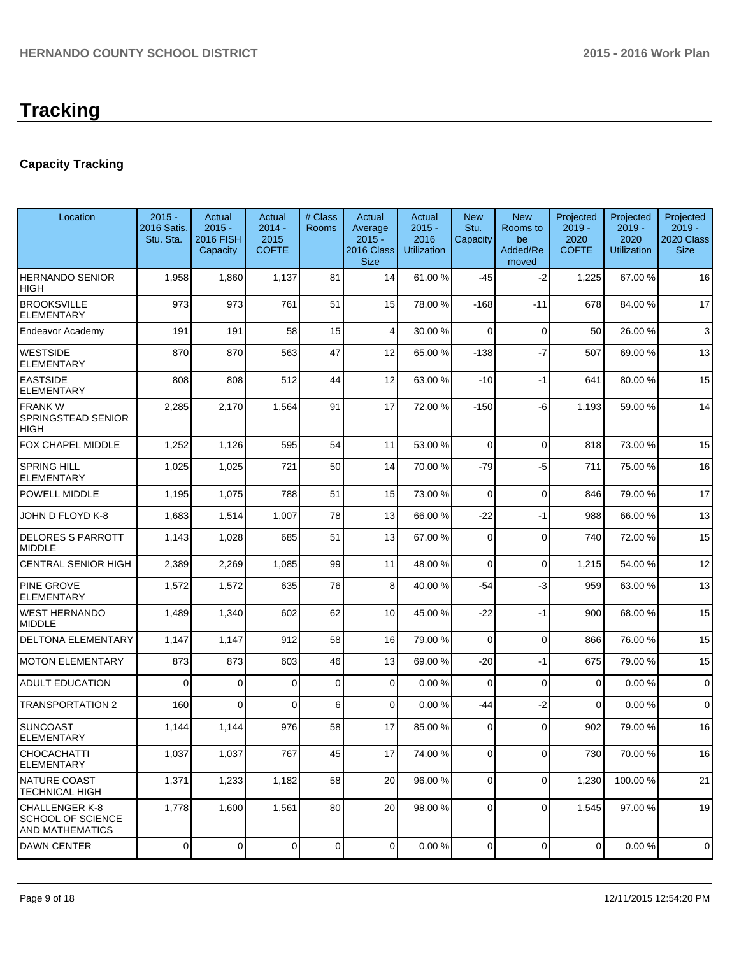# **Tracking**

# **Capacity Tracking**

| Location                                                             | $2015 -$<br>2016 Satis.<br>Stu. Sta. | Actual<br>$2015 -$<br>2016 FISH<br>Capacity | Actual<br>$2014 -$<br>2015<br><b>COFTE</b> | # Class<br><b>Rooms</b> | Actual<br>Average<br>$2015 -$<br>2016 Class<br><b>Size</b> | Actual<br>$2015 -$<br>2016<br><b>Utilization</b> | <b>New</b><br>Stu.<br>Capacity | <b>New</b><br>Rooms to<br>be<br>Added/Re<br>moved | Projected<br>$2019 -$<br>2020<br><b>COFTE</b> | Projected<br>$2019 -$<br>2020<br><b>Utilization</b> | Projected<br>$2019 -$<br>2020 Class<br><b>Size</b> |
|----------------------------------------------------------------------|--------------------------------------|---------------------------------------------|--------------------------------------------|-------------------------|------------------------------------------------------------|--------------------------------------------------|--------------------------------|---------------------------------------------------|-----------------------------------------------|-----------------------------------------------------|----------------------------------------------------|
| <b>HERNANDO SENIOR</b><br>HIGH                                       | 1,958                                | 1,860                                       | 1,137                                      | 81                      | 14                                                         | 61.00%                                           | $-45$                          | $-2$                                              | 1,225                                         | 67.00 %                                             | 16                                                 |
| <b>BROOKSVILLE</b><br><b>ELEMENTARY</b>                              | 973                                  | 973                                         | 761                                        | 51                      | 15                                                         | 78.00 %                                          | $-168$                         | -11                                               | 678                                           | 84.00%                                              | 17                                                 |
| Endeavor Academy                                                     | 191                                  | 191                                         | 58                                         | 15                      | 4                                                          | 30.00 %                                          | $\Omega$                       | $\Omega$                                          | 50                                            | 26.00%                                              | 3                                                  |
| <b>WESTSIDE</b><br><b>ELEMENTARY</b>                                 | 870                                  | 870                                         | 563                                        | 47                      | 12                                                         | 65.00 %                                          | $-138$                         | $-7$                                              | 507                                           | 69.00 %                                             | 13                                                 |
| <b>EASTSIDE</b><br>ELEMENTARY                                        | 808                                  | 808                                         | 512                                        | 44                      | 12                                                         | 63.00 %                                          | $-10$                          | $-1$                                              | 641                                           | 80.00 %                                             | 15                                                 |
| <b>FRANK W</b><br>SPRINGSTEAD SENIOR<br>HIGH                         | 2,285                                | 2,170                                       | 1,564                                      | 91                      | 17                                                         | 72.00 %                                          | $-150$                         | -6                                                | 1,193                                         | 59.00 %                                             | 14                                                 |
| FOX CHAPEL MIDDLE                                                    | 1,252                                | 1,126                                       | 595                                        | 54                      | 11                                                         | 53.00 %                                          | 0                              | $\Omega$                                          | 818                                           | 73.00 %                                             | 15                                                 |
| <b>SPRING HILL</b><br><b>ELEMENTARY</b>                              | 1,025                                | 1,025                                       | 721                                        | 50                      | 14                                                         | 70.00 %                                          | $-79$                          | -5                                                | 711                                           | 75.00 %                                             | 16                                                 |
| POWELL MIDDLE                                                        | 1,195                                | 1,075                                       | 788                                        | 51                      | 15                                                         | 73.00 %                                          | $\mathbf 0$                    | $\Omega$                                          | 846                                           | 79.00 %                                             | 17                                                 |
| JOHN D FLOYD K-8                                                     | 1,683                                | 1,514                                       | 1,007                                      | 78                      | 13                                                         | 66.00 %                                          | -22                            | $-1$                                              | 988                                           | 66.00 %                                             | 13                                                 |
| <b>DELORES S PARROTT</b><br><b>MIDDLE</b>                            | 1,143                                | 1,028                                       | 685                                        | 51                      | 13                                                         | 67.00 %                                          | 0                              | $\Omega$                                          | 740                                           | 72.00 %                                             | 15                                                 |
| <b>CENTRAL SENIOR HIGH</b>                                           | 2,389                                | 2,269                                       | 1,085                                      | 99                      | 11                                                         | 48.00 %                                          | $\mathbf 0$                    | $\overline{0}$                                    | 1,215                                         | 54.00 %                                             | 12                                                 |
| PINE GROVE<br><b>ELEMENTARY</b>                                      | 1,572                                | 1,572                                       | 635                                        | 76                      | 8 <sup>1</sup>                                             | 40.00 %                                          | $-54$                          | $-3$                                              | 959                                           | 63.00 %                                             | 13                                                 |
| <b>WEST HERNANDO</b><br><b>MIDDLE</b>                                | 1,489                                | 1,340                                       | 602                                        | 62                      | 10 <sup>1</sup>                                            | 45.00 %                                          | $-22$                          | $-1$                                              | 900                                           | 68.00 %                                             | 15                                                 |
| <b>DELTONA ELEMENTARY</b>                                            | 1,147                                | 1,147                                       | 912                                        | 58                      | 16                                                         | 79.00 %                                          | 0                              | 0                                                 | 866                                           | 76.00 %                                             | 15                                                 |
| <b>MOTON ELEMENTARY</b>                                              | 873                                  | 873                                         | 603                                        | 46                      | 13                                                         | 69.00 %                                          | -20                            | $-1$                                              | 675                                           | 79.00 %                                             | 15                                                 |
| <b>ADULT EDUCATION</b>                                               | $\Omega$                             | $\Omega$                                    | $\Omega$                                   | $\mathbf 0$             | $\Omega$                                                   | 0.00%                                            | 0                              | $\Omega$                                          | 0                                             | 0.00%                                               | 0                                                  |
| <b>TRANSPORTATION 2</b>                                              | 160                                  | $\Omega$                                    | $\Omega$                                   | 6                       | $\Omega$                                                   | 0.00%                                            | -44                            | $-2$                                              | $\Omega$                                      | 0.00%                                               | 0                                                  |
| SUNCOAST<br><b>ELEMENTARY</b>                                        | 1,144                                | 1,144                                       | 976                                        | 58                      | 17                                                         | 85.00 %                                          | 0                              | $\Omega$                                          | 902                                           | 79.00 %                                             | 16                                                 |
| CHOCACHATTI<br><b>ELEMENTARY</b>                                     | 1,037                                | 1,037                                       | 767                                        | 45                      | 17                                                         | 74.00 %                                          | $\overline{0}$                 | $\overline{0}$                                    | 730                                           | 70.00%                                              | 16                                                 |
| NATURE COAST<br><b>TECHNICAL HIGH</b>                                | 1,371                                | 1,233                                       | 1,182                                      | 58                      | 20                                                         | 96.00 %                                          | $\overline{0}$                 | $\overline{0}$                                    | 1,230                                         | 100.00%                                             | 21                                                 |
| <b>CHALLENGER K-8</b><br>SCHOOL OF SCIENCE<br><b>AND MATHEMATICS</b> | 1,778                                | 1,600                                       | 1,561                                      | 80                      | 20                                                         | 98.00 %                                          | 0                              | $\mathbf 0$                                       | 1,545                                         | 97.00 %                                             | 19                                                 |
| <b>DAWN CENTER</b>                                                   | $\overline{0}$                       | $\overline{0}$                              | $\overline{0}$                             | $\mathbf 0$             | $\overline{0}$                                             | 0.00%                                            | $\overline{0}$                 | $\overline{0}$                                    | $\mathbf 0$                                   | 0.00%                                               | $\mathbf 0$                                        |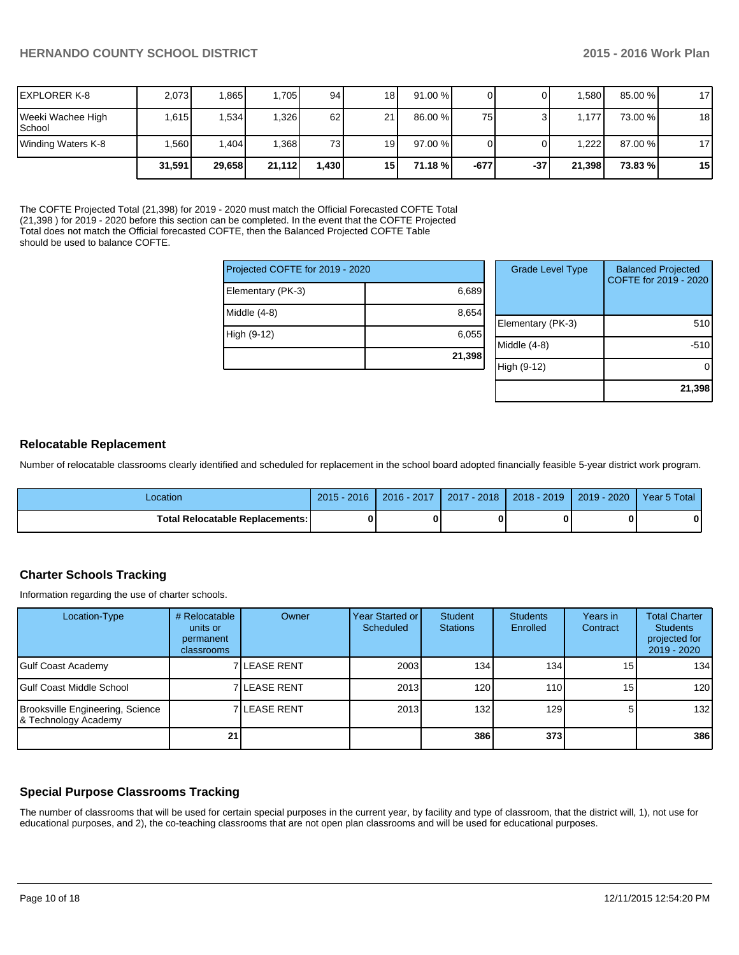| IEXPLORER K-8                      | 2,073  | .865   | 1,705  | 94     | 18   | 91.00%    |        |       | l.580 l | 85.00 % | 17 |
|------------------------------------|--------|--------|--------|--------|------|-----------|--------|-------|---------|---------|----|
| Weeki Wachee High<br><b>School</b> | 1,615  | 1.534  | 1,326  | 62     | 211  | $86.00\%$ | 75     |       | 177'    | 73.00 % | 18 |
| Winding Waters K-8                 | .560   | ,404   | .368   | 73     | 19 I | 97.00%    |        |       | 1.222   | 87.00 % | 17 |
|                                    | 31.591 | 29,658 | 21,112 | ا 430. | 15 I | 71.18 %   | $-677$ | $-37$ | 21,398  | 73.83 % | 15 |

The COFTE Projected Total (21,398) for 2019 - 2020 must match the Official Forecasted COFTE Total (21,398 ) for 2019 - 2020 before this section can be completed. In the event that the COFTE Projected Total does not match the Official forecasted COFTE, then the Balanced Projected COFTE Table should be used to balance COFTE.

| Projected COFTE for 2019 - 2020 |        |      |  |
|---------------------------------|--------|------|--|
| Elementary (PK-3)               | 6,689  |      |  |
| Middle (4-8)                    | 8,654  | Eler |  |
| High (9-12)                     | 6,055  | Mid  |  |
|                                 | 21,398 | High |  |

| <b>Grade Level Type</b> | <b>Balanced Projected</b><br>COFTE for 2019 - 2020 |
|-------------------------|----------------------------------------------------|
| Elementary (PK-3)       | 510                                                |
| Middle $(4-8)$          | $-510$                                             |
| High (9-12)             |                                                    |
|                         | 21,398                                             |

#### **Relocatable Replacement**

Number of relocatable classrooms clearly identified and scheduled for replacement in the school board adopted financially feasible 5-year district work program.

| Location                                 | $2015 - 2016$ | 2016 - 2017 | $2017 - 2018$ | 2018 - 2019 | 2019 - 2020 | Year 5 Total |
|------------------------------------------|---------------|-------------|---------------|-------------|-------------|--------------|
| <b>Total Relocatable Replacements: I</b> | Λ             |             |               |             |             |              |

# **Charter Schools Tracking**

Information regarding the use of charter schools.

| Location-Type                                            | # Relocatable<br>units or<br>permanent<br>classrooms | Owner        | Year Started or I<br>Scheduled | Student<br><b>Stations</b> | <b>Students</b><br>Enrolled | Years in<br>Contract | <b>Total Charter</b><br><b>Students</b><br>projected for<br>2019 - 2020 |
|----------------------------------------------------------|------------------------------------------------------|--------------|--------------------------------|----------------------------|-----------------------------|----------------------|-------------------------------------------------------------------------|
| Gulf Coast Academy                                       |                                                      | 7 LEASE RENT | 2003                           | $1341$                     | 134                         | 15 <sub>l</sub>      | 134                                                                     |
| IGulf Coast Middle School                                |                                                      | 7 LEASE RENT | 2013                           | 120 <sub>l</sub>           | 110 <sup>1</sup>            | 15 <sub>l</sub>      | 120                                                                     |
| Brooksville Engineering, Science<br>8 Technology Academy |                                                      | 7 LEASE RENT | 2013                           | 132                        | 129                         | 5                    | 132                                                                     |
|                                                          | 21                                                   |              |                                | 386                        | 373I                        |                      | 386                                                                     |

# **Special Purpose Classrooms Tracking**

The number of classrooms that will be used for certain special purposes in the current year, by facility and type of classroom, that the district will, 1), not use for educational purposes, and 2), the co-teaching classrooms that are not open plan classrooms and will be used for educational purposes.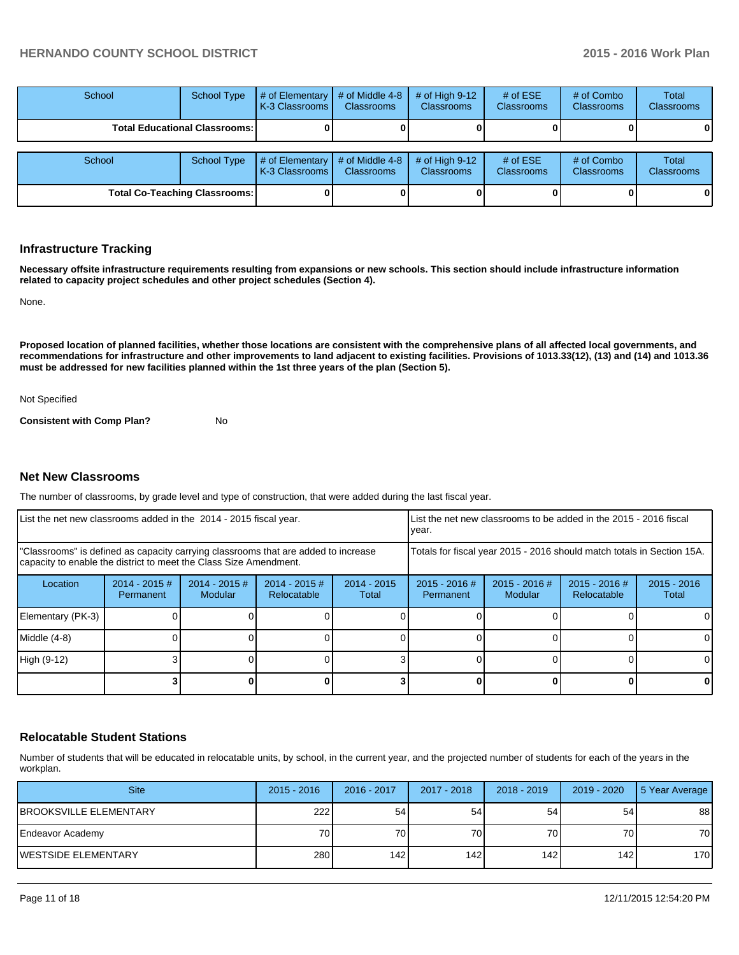| School                                 | <b>School Type</b> | # of Elementary<br>K-3 Classrooms I   | # of Middle 4-8<br><b>Classrooms</b> | # of High $9-12$<br><b>Classrooms</b> | # of $ESE$<br>Classrooms | # of Combo<br><b>Classrooms</b> | Total<br><b>Classrooms</b>        |
|----------------------------------------|--------------------|---------------------------------------|--------------------------------------|---------------------------------------|--------------------------|---------------------------------|-----------------------------------|
| <b>Total Educational Classrooms: I</b> |                    |                                       |                                      |                                       |                          |                                 |                                   |
| School                                 | <b>School Type</b> | # of Elementary<br>I K-3 Classrooms I | # of Middle 4-8<br><b>Classrooms</b> | # of High $9-12$<br><b>Classrooms</b> | # of $ESE$<br>Classrooms | # of Combo<br><b>Classrooms</b> | <b>Total</b><br><b>Classrooms</b> |
| <b>Total Co-Teaching Classrooms:</b>   |                    |                                       |                                      |                                       |                          |                                 |                                   |

#### **Infrastructure Tracking**

**Necessary offsite infrastructure requirements resulting from expansions or new schools. This section should include infrastructure information related to capacity project schedules and other project schedules (Section 4).**

None.

**Proposed location of planned facilities, whether those locations are consistent with the comprehensive plans of all affected local governments, and recommendations for infrastructure and other improvements to land adjacent to existing facilities. Provisions of 1013.33(12), (13) and (14) and 1013.36 must be addressed for new facilities planned within the 1st three years of the plan (Section 5).**

Not Specified

**Consistent with Comp Plan?** No

#### **Net New Classrooms**

The number of classrooms, by grade level and type of construction, that were added during the last fiscal year.

| List the net new classrooms added in the 2014 - 2015 fiscal year.                                                                                       |                              |                                   |                                | List the net new classrooms to be added in the 2015 - 2016 fiscal<br>Ivear. |                              |                          |                              |                        |
|---------------------------------------------------------------------------------------------------------------------------------------------------------|------------------------------|-----------------------------------|--------------------------------|-----------------------------------------------------------------------------|------------------------------|--------------------------|------------------------------|------------------------|
| "Classrooms" is defined as capacity carrying classrooms that are added to increase<br>capacity to enable the district to meet the Class Size Amendment. |                              |                                   |                                | Totals for fiscal year 2015 - 2016 should match totals in Section 15A.      |                              |                          |                              |                        |
| Location                                                                                                                                                | $2014 - 2015$ #<br>Permanent | $2014 - 2015$ #<br><b>Modular</b> | $2014 - 2015$ #<br>Relocatable | $2014 - 2015$<br>Total                                                      | $2015 - 2016$ #<br>Permanent | 2015 - 2016 #<br>Modular | 2015 - 2016 #<br>Relocatable | $2015 - 2016$<br>Total |
| Elementary (PK-3)                                                                                                                                       |                              |                                   |                                |                                                                             |                              |                          |                              | 0                      |
| Middle (4-8)                                                                                                                                            |                              |                                   |                                |                                                                             |                              |                          |                              | 0                      |
| High (9-12)                                                                                                                                             |                              |                                   |                                |                                                                             |                              |                          |                              | 0                      |
|                                                                                                                                                         |                              |                                   |                                |                                                                             |                              |                          |                              | 0                      |

#### **Relocatable Student Stations**

Number of students that will be educated in relocatable units, by school, in the current year, and the projected number of students for each of the years in the workplan.

| <b>Site</b>                    | $2015 - 2016$ | $2016 - 2017$ | 2017 - 2018 | $2018 - 2019$ | 2019 - 2020     | 5 Year Average |
|--------------------------------|---------------|---------------|-------------|---------------|-----------------|----------------|
| <b>IBROOKSVILLE ELEMENTARY</b> | 222           | 54            | 54          | 54            | 54              | 88             |
| Endeavor Academy               | 70 l          | 70I           | 70 l        | 70            | 70 <sub>1</sub> | 70             |
| IWESTSIDE ELEMENTARY           | 280           | 142 I         | 142         | 142           | 142             | 170            |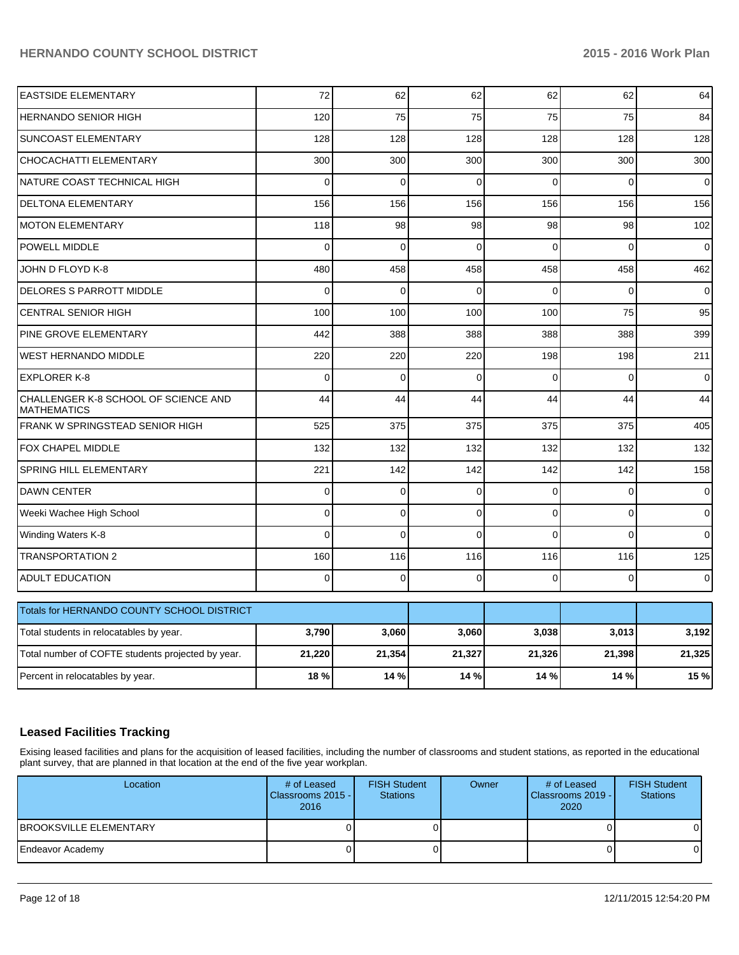| 75<br>128<br>300<br>$\overline{0}$<br>156<br>98 | 75<br>128<br>300<br>$\Omega$ | 75<br>128<br>300<br>$\Omega$ | 75<br>128<br>300<br>$\Omega$ | 84<br>128<br>300 |
|-------------------------------------------------|------------------------------|------------------------------|------------------------------|------------------|
|                                                 |                              |                              |                              |                  |
|                                                 |                              |                              |                              |                  |
|                                                 |                              |                              |                              |                  |
|                                                 |                              |                              |                              | $\Omega$         |
|                                                 |                              | 156                          | 156                          | 156              |
|                                                 | 98                           | 98                           | 98                           | 102              |
| $\mathbf 0$                                     | $\Omega$                     | $\Omega$                     | $\Omega$                     | $\mathbf 0$      |
| 458                                             | 458                          | 458                          | 458                          | 462              |
| $\Omega$                                        | $\Omega$                     | $\Omega$                     | $\Omega$                     | $\Omega$         |
| 100                                             | 100                          | 100                          | 75                           | 95               |
| 388                                             | 388                          | 388                          | 388                          | 399              |
| 220                                             | 220                          | 198                          | 198                          | 211              |
| $\Omega$                                        | $\Omega$                     | $\Omega$                     | $\Omega$                     | $\Omega$         |
| 44                                              | 44                           | 44                           | 44                           | 44               |
| 375                                             | 375                          | 375                          | 375                          | 405              |
| 132                                             | 132                          | 132                          | 132                          | 132              |
| 142                                             | 142                          | 142                          | 142                          | 158              |
| $\mathbf 0$                                     | $\mathbf 0$                  | $\Omega$                     | $\mathbf 0$                  | $\pmb{0}$        |
| $\mathbf 0$                                     | 0                            | $\Omega$                     | $\mathbf 0$                  | $\pmb{0}$        |
| 0                                               | $\Omega$                     | $\Omega$                     | $\Omega$                     | $\overline{0}$   |
| 116                                             | 116                          | 116                          | 116                          | 125              |
| $\mathbf 0$                                     | 0                            | $\Omega$                     | $\mathbf{0}$                 | $\mathbf 0$      |
|                                                 |                              |                              |                              |                  |
| 3,060                                           | 3,060                        | 3,038                        | 3,013                        | 3,192            |
| 21,354                                          | 21,327                       | 21,326                       | 21,398                       | 21,325           |
| 14 %                                            | 14 %                         | 14 %                         | 14 %                         | 15 %             |
|                                                 |                              | 156                          |                              |                  |

# **Leased Facilities Tracking**

Exising leased facilities and plans for the acquisition of leased facilities, including the number of classrooms and student stations, as reported in the educational plant survey, that are planned in that location at the end of the five year workplan.

| Location                       | # of Leased<br>Classrooms 2015 -<br>2016 | <b>FISH Student</b><br><b>Stations</b> | Owner | # of Leased<br>Classrooms 2019 -<br>2020 | <b>FISH Student</b><br><b>Stations</b> |
|--------------------------------|------------------------------------------|----------------------------------------|-------|------------------------------------------|----------------------------------------|
| <b>IBROOKSVILLE ELEMENTARY</b> | OΙ                                       |                                        |       |                                          |                                        |
| Endeavor Academy               | OΙ                                       |                                        |       |                                          |                                        |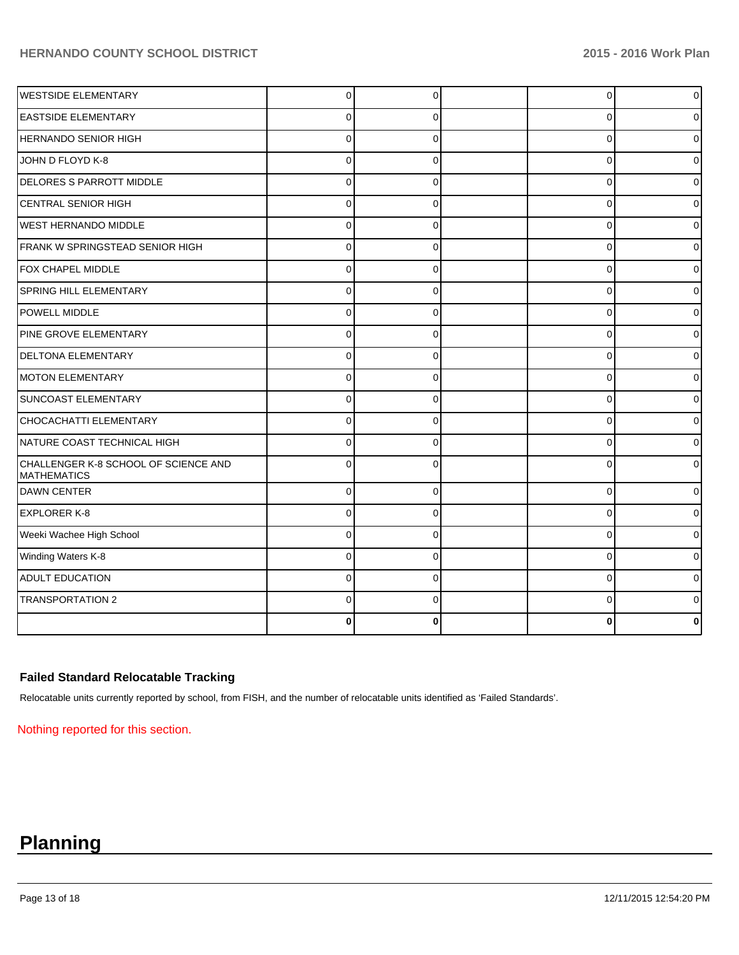| <b>WESTSIDE ELEMENTARY</b>                                 | $\overline{0}$ | $\Omega$ | $\overline{0}$ | $\overline{0}$ |
|------------------------------------------------------------|----------------|----------|----------------|----------------|
| <b>EASTSIDE ELEMENTARY</b>                                 | $\Omega$       | $\Omega$ | $\Omega$       | 0              |
| <b>HERNANDO SENIOR HIGH</b>                                | $\Omega$       | $\Omega$ | $\Omega$       | $\Omega$       |
| JOHN D FLOYD K-8                                           | $\Omega$       | $\Omega$ | $\Omega$       | $\overline{0}$ |
| DELORES S PARROTT MIDDLE                                   | $\Omega$       | $\Omega$ | $\Omega$       | 01             |
| CENTRAL SENIOR HIGH                                        | $\mathbf{0}$   | $\Omega$ | 0              | 0              |
| <b>WEST HERNANDO MIDDLE</b>                                | $\Omega$       | $\Omega$ | $\Omega$       | 0              |
| FRANK W SPRINGSTEAD SENIOR HIGH                            | $\Omega$       | $\Omega$ | $\Omega$       | 0              |
| FOX CHAPEL MIDDLE                                          | $\Omega$       | $\Omega$ | $\Omega$       | 0              |
| <b>SPRING HILL ELEMENTARY</b>                              | $\Omega$       | $\Omega$ | $\Omega$       | 0              |
| <b>POWELL MIDDLE</b>                                       | $\Omega$       | $\Omega$ | $\Omega$       | 0              |
| PINE GROVE ELEMENTARY                                      | $\mathbf{0}$   | $\Omega$ | $\Omega$       | ი              |
| DELTONA ELEMENTARY                                         | $\Omega$       | $\Omega$ | $\Omega$       | 0              |
| <b>MOTON ELEMENTARY</b>                                    | $\Omega$       | $\Omega$ | $\Omega$       |                |
| SUNCOAST ELEMENTARY                                        | $\Omega$       | $\Omega$ | $\Omega$       | 0              |
| CHOCACHATTI ELEMENTARY                                     | $\Omega$       | $\Omega$ | $\Omega$       | U              |
| NATURE COAST TECHNICAL HIGH                                | $\Omega$       | $\Omega$ | $\Omega$       | 0              |
| CHALLENGER K-8 SCHOOL OF SCIENCE AND<br><b>MATHEMATICS</b> | U              | U        | $\Omega$       | 0              |
| DAWN CENTER                                                | $\Omega$       | $\Omega$ | $\Omega$       | 0              |
| <b>EXPLORER K-8</b>                                        | $\Omega$       | $\Omega$ | $\Omega$       | 0              |
| Weeki Wachee High School                                   | $\Omega$       | $\Omega$ | $\Omega$       | 0              |
| Winding Waters K-8                                         | $\Omega$       | $\Omega$ | $\Omega$       | 0              |
| <b>ADULT EDUCATION</b>                                     | $\Omega$       | $\Omega$ | $\Omega$       | 0              |
| <b>TRANSPORTATION 2</b>                                    | $\Omega$       | $\Omega$ | $\Omega$       | 0              |
|                                                            | n              |          | ŋ              |                |

# **Failed Standard Relocatable Tracking**

Relocatable units currently reported by school, from FISH, and the number of relocatable units identified as 'Failed Standards'.

Nothing reported for this section.

# **Planning**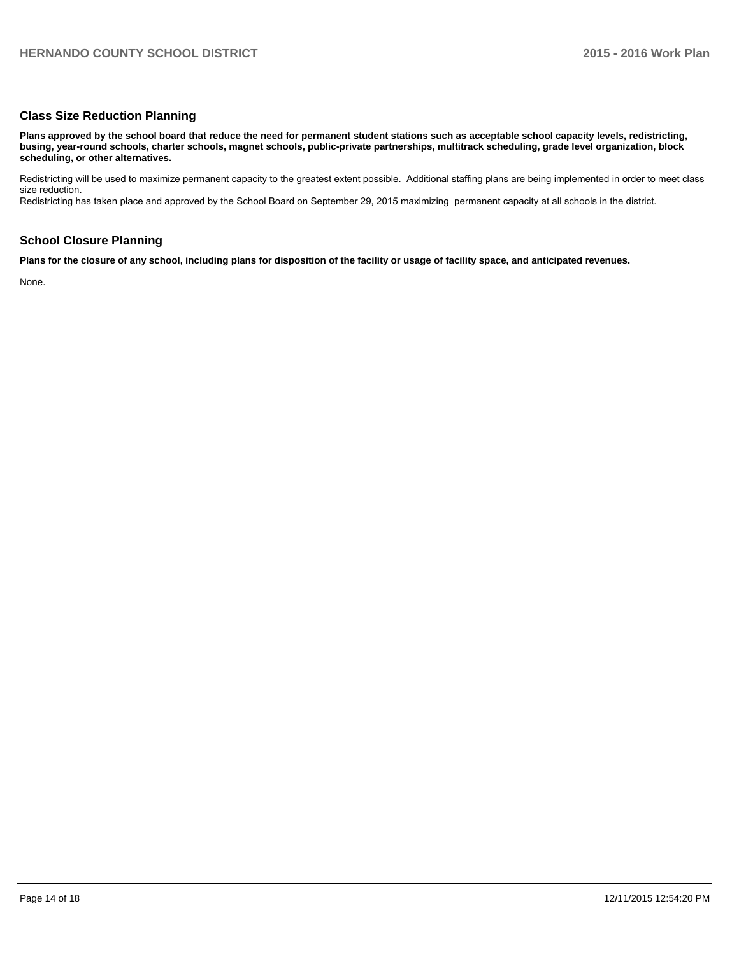## **Class Size Reduction Planning**

**Plans approved by the school board that reduce the need for permanent student stations such as acceptable school capacity levels, redistricting, busing, year-round schools, charter schools, magnet schools, public-private partnerships, multitrack scheduling, grade level organization, block scheduling, or other alternatives.**

Redistricting will be used to maximize permanent capacity to the greatest extent possible. Additional staffing plans are being implemented in order to meet class size reduction.

Redistricting has taken place and approved by the School Board on September 29, 2015 maximizing permanent capacity at all schools in the district.

## **School Closure Planning**

**Plans for the closure of any school, including plans for disposition of the facility or usage of facility space, and anticipated revenues.**

None.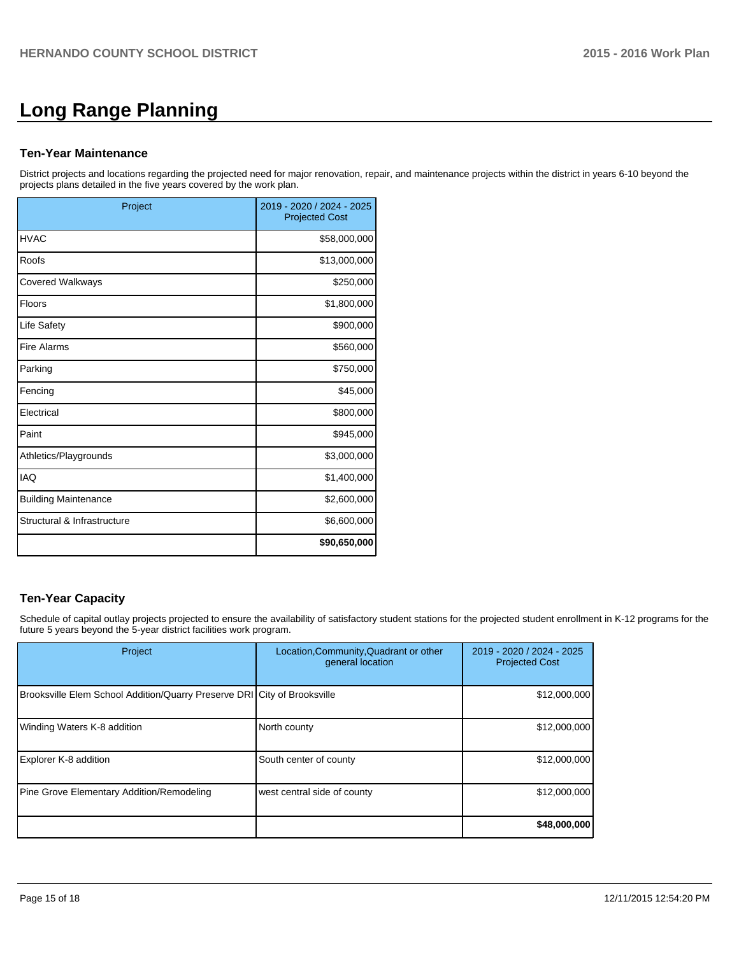# **Long Range Planning**

#### **Ten-Year Maintenance**

District projects and locations regarding the projected need for major renovation, repair, and maintenance projects within the district in years 6-10 beyond the projects plans detailed in the five years covered by the work plan.

| Project                     | 2019 - 2020 / 2024 - 2025<br><b>Projected Cost</b> |
|-----------------------------|----------------------------------------------------|
| <b>HVAC</b>                 | \$58,000,000                                       |
| Roofs                       | \$13,000,000                                       |
| <b>Covered Walkways</b>     | \$250,000                                          |
| Floors                      | \$1,800,000                                        |
| Life Safety                 | \$900,000                                          |
| <b>Fire Alarms</b>          | \$560,000                                          |
| Parking                     | \$750,000                                          |
| Fencing                     | \$45,000                                           |
| Electrical                  | \$800,000                                          |
| Paint                       | \$945,000                                          |
| Athletics/Playgrounds       | \$3,000,000                                        |
| <b>IAQ</b>                  | \$1,400,000                                        |
| <b>Building Maintenance</b> | \$2,600,000                                        |
| Structural & Infrastructure | \$6,600,000                                        |
|                             | \$90,650,000                                       |

# **Ten-Year Capacity**

Schedule of capital outlay projects projected to ensure the availability of satisfactory student stations for the projected student enrollment in K-12 programs for the future 5 years beyond the 5-year district facilities work program.

| Project                                                                  | Location, Community, Quadrant or other<br>general location | 2019 - 2020 / 2024 - 2025<br><b>Projected Cost</b> |
|--------------------------------------------------------------------------|------------------------------------------------------------|----------------------------------------------------|
| Brooksville Elem School Addition/Quarry Preserve DRI City of Brooksville |                                                            | \$12,000,000                                       |
| Winding Waters K-8 addition                                              | North county                                               | \$12,000,000                                       |
| Explorer K-8 addition                                                    | South center of county                                     | \$12,000,000                                       |
| Pine Grove Elementary Addition/Remodeling                                | west central side of county                                | \$12,000,000                                       |
|                                                                          |                                                            | \$48,000,000                                       |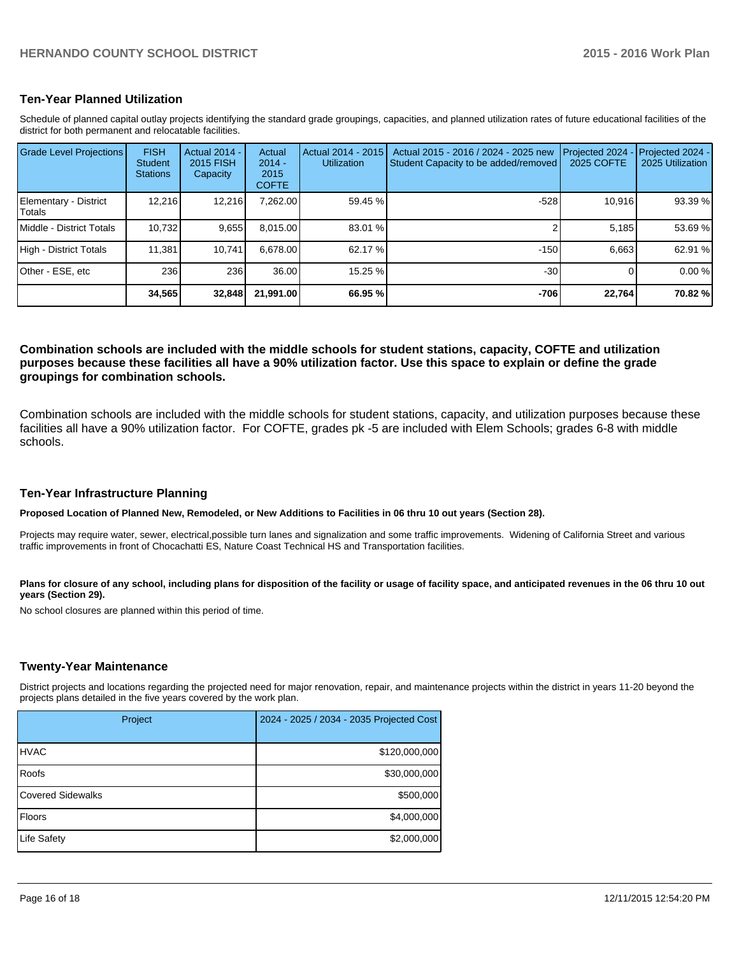#### **Ten-Year Planned Utilization**

Schedule of planned capital outlay projects identifying the standard grade groupings, capacities, and planned utilization rates of future educational facilities of the district for both permanent and relocatable facilities.

| <b>Grade Level Projections</b>   | <b>FISH</b><br>Student<br><b>Stations</b> | <b>Actual 2014 -</b><br>2015 FISH<br>Capacity | Actual<br>$2014 -$<br>2015<br><b>COFTE</b> | Actual 2014 - 2015<br><b>Utilization</b> | Actual 2015 - 2016 / 2024 - 2025 new<br>Student Capacity to be added/removed | Projected 2024<br><b>2025 COFTE</b> | Projected 2024 -<br>2025 Utilization |
|----------------------------------|-------------------------------------------|-----------------------------------------------|--------------------------------------------|------------------------------------------|------------------------------------------------------------------------------|-------------------------------------|--------------------------------------|
| Elementary - District<br> Totals | 12,216                                    | 12,216                                        | 7,262.00                                   | 59.45 %                                  | $-528$                                                                       | 10,916                              | 93.39 %                              |
| Middle - District Totals         | 10.732                                    | 9,655                                         | 8.015.00                                   | 83.01 %                                  |                                                                              | 5.185                               | 53.69 %                              |
| High - District Totals           | 11.381                                    | 10.741                                        | 6.678.00                                   | 62.17 %                                  | $-150$                                                                       | 6.663                               | 62.91 %                              |
| IOther - ESE. etc                | 236                                       | 236                                           | 36.00                                      | 15.25 %                                  | $-30$                                                                        |                                     | 0.00%                                |
|                                  | 34,565                                    | 32,848                                        | 21,991.00                                  | 66.95 %                                  | $-706$                                                                       | 22,764                              | 70.82 %                              |

#### **Combination schools are included with the middle schools for student stations, capacity, COFTE and utilization purposes because these facilities all have a 90% utilization factor. Use this space to explain or define the grade groupings for combination schools.**

Combination schools are included with the middle schools for student stations, capacity, and utilization purposes because these facilities all have a 90% utilization factor. For COFTE, grades pk -5 are included with Elem Schools; grades 6-8 with middle schools.

#### **Ten-Year Infrastructure Planning**

**Proposed Location of Planned New, Remodeled, or New Additions to Facilities in 06 thru 10 out years (Section 28).**

Projects may require water, sewer, electrical,possible turn lanes and signalization and some traffic improvements. Widening of California Street and various traffic improvements in front of Chocachatti ES, Nature Coast Technical HS and Transportation facilities.

Plans for closure of any school, including plans for disposition of the facility or usage of facility space, and anticipated revenues in the 06 thru 10 out **years (Section 29).**

No school closures are planned within this period of time.

#### **Twenty-Year Maintenance**

District projects and locations regarding the projected need for major renovation, repair, and maintenance projects within the district in years 11-20 beyond the projects plans detailed in the five years covered by the work plan.

| Project                  | 2024 - 2025 / 2034 - 2035 Projected Cost |
|--------------------------|------------------------------------------|
| <b>HVAC</b>              | \$120,000,000                            |
| Roofs                    | \$30,000,000                             |
| <b>Covered Sidewalks</b> | \$500,000                                |
| <b>Floors</b>            | \$4,000,000                              |
| Life Safety              | \$2,000,000                              |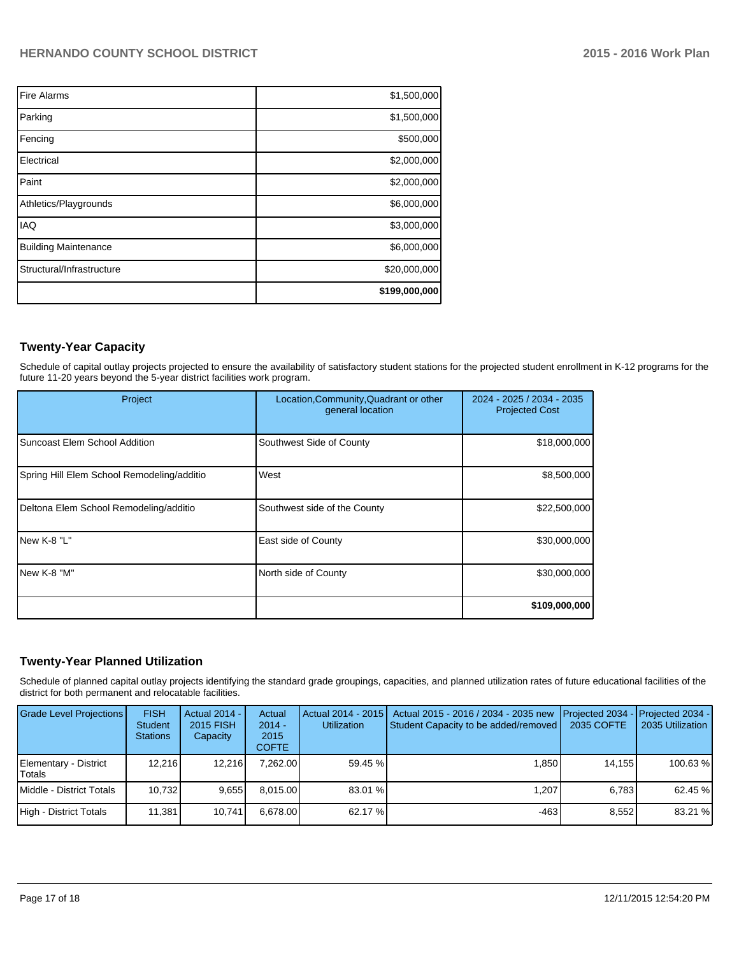| <b>Fire Alarms</b>          | \$1,500,000   |
|-----------------------------|---------------|
| Parking                     | \$1,500,000   |
| Fencing                     | \$500,000     |
| Electrical                  | \$2,000,000   |
| Paint                       | \$2,000,000   |
| Athletics/Playgrounds       | \$6,000,000   |
| <b>IAQ</b>                  | \$3,000,000   |
| <b>Building Maintenance</b> | \$6,000,000   |
| Structural/Infrastructure   | \$20,000,000  |
|                             | \$199,000,000 |

# **Twenty-Year Capacity**

Schedule of capital outlay projects projected to ensure the availability of satisfactory student stations for the projected student enrollment in K-12 programs for the future 11-20 years beyond the 5-year district facilities work program.

| Project                                    | Location, Community, Quadrant or other<br>general location | 2024 - 2025 / 2034 - 2035<br><b>Projected Cost</b> |
|--------------------------------------------|------------------------------------------------------------|----------------------------------------------------|
| Suncoast Elem School Addition              | Southwest Side of County                                   | \$18,000,000                                       |
| Spring Hill Elem School Remodeling/additio | West                                                       | \$8,500,000                                        |
| Deltona Elem School Remodeling/additio     | Southwest side of the County                               | \$22,500,000                                       |
| New K-8 "L"                                | <b>East side of County</b>                                 | \$30,000,000                                       |
| INew K-8 "M"                               | North side of County                                       | \$30,000,000                                       |
|                                            |                                                            | \$109,000,000                                      |

# **Twenty-Year Planned Utilization**

Schedule of planned capital outlay projects identifying the standard grade groupings, capacities, and planned utilization rates of future educational facilities of the district for both permanent and relocatable facilities.

| <b>Grade Level Projections</b>  | <b>FISH</b><br><b>Student</b><br><b>Stations</b> | Actual 2014 -<br>2015 FISH<br>Capacity | Actual<br>$2014 -$<br>2015<br><b>COFTE</b> | <b>Utilization</b> | Actual 2014 - 2015   Actual 2015 - 2016 / 2034 - 2035 new<br>Student Capacity to be added/removed | <b>I</b> Projected 2034 - <b>Projected 2034 -</b><br>2035 COFTE | 2035 Utilization |
|---------------------------------|--------------------------------------------------|----------------------------------------|--------------------------------------------|--------------------|---------------------------------------------------------------------------------------------------|-----------------------------------------------------------------|------------------|
| Elementary - District<br>Totals | 12.216                                           | 12.216                                 | 7.262.00                                   | 59.45 %            | 1.850                                                                                             | 14.155                                                          | 100.63%          |
| Middle - District Totals        | 10.732                                           | 9.655                                  | 8.015.00                                   | $83.01\%$          | 1.207                                                                                             | 6.783                                                           | 62.45 %          |
| High - District Totals          | 11.381                                           | 10.741                                 | 6.678.00                                   | 62.17 %            | -463                                                                                              | 8.552                                                           | 83.21 %          |